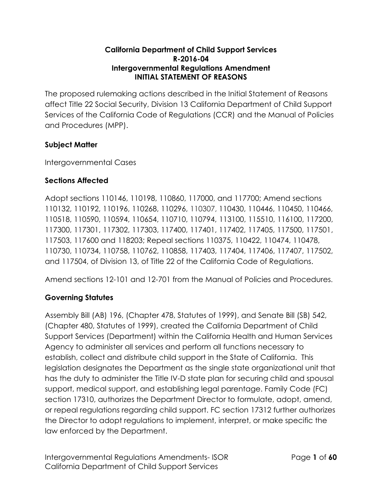#### **California Department of Child Support Services R-2016-04 Intergovernmental Regulations Amendment INITIAL STATEMENT OF REASONS**

The proposed rulemaking actions described in the Initial Statement of Reasons affect Title 22 Social Security, Division 13 California Department of Child Support Services of the California Code of Regulations (CCR) and the Manual of Policies and Procedures (MPP).

## **Subject Matter**

Intergovernmental Cases

## **Sections Affected**

Adopt sections 110146, 110198, 110860, 117000, and 117700; Amend sections 110132, 110192, 110196, 110268, 110296, 110307, 110430, 110446, 110450, 110466, 110518, 110590, 110594, 110654, 110710, 110794, 113100, 115510, 116100, 117200, 117300, 117301, 117302, 117303, 117400, 117401, 117402, 117405, 117500, 117501, 117503, 117600 and 118203; Repeal sections 110375, 110422, 110474, 110478, 110730, 110734, 110758, 110762, 110858, 117403, 117404, 117406, 117407, 117502, and 117504, of Division 13, of Title 22 of the California Code of Regulations.

Amend sections 12-101 and 12-701 from the Manual of Policies and Procedures.

# **Governing Statutes**

Assembly Bill (AB) 196, (Chapter 478, Statutes of 1999), and Senate Bill (SB) 542, (Chapter 480, Statutes of 1999), created the California Department of Child Support Services (Department) within the California Health and Human Services Agency to administer all services and perform all functions necessary to establish, collect and distribute child support in the State of California. This legislation designates the Department as the single state organizational unit that has the duty to administer the Title IV-D state plan for securing child and spousal support, medical support, and establishing legal parentage. Family Code (FC) section 17310, authorizes the Department Director to formulate, adopt, amend, or repeal regulations regarding child support. FC section 17312 further authorizes the Director to adopt regulations to implement, interpret, or make specific the law enforced by the Department.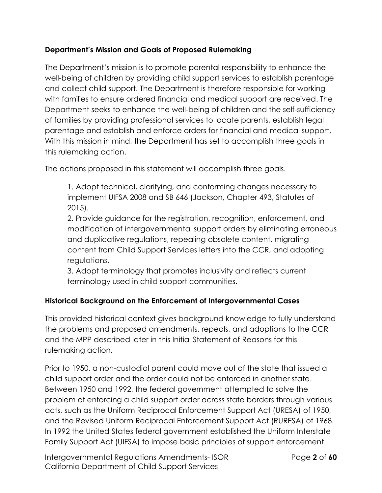## **Department's Mission and Goals of Proposed Rulemaking**

The Department's mission is to promote parental responsibility to enhance the well-being of children by providing child support services to establish parentage and collect child support. The Department is therefore responsible for working with families to ensure ordered financial and medical support are received. The Department seeks to enhance the well-being of children and the self-sufficiency of families by providing professional services to locate parents, establish legal parentage and establish and enforce orders for financial and medical support. With this mission in mind, the Department has set to accomplish three goals in this rulemaking action.

The actions proposed in this statement will accomplish three goals.

1. Adopt technical, clarifying, and conforming changes necessary to implement UIFSA 2008 and SB 646 (Jackson, Chapter 493, Statutes of 2015).

2. Provide guidance for the registration, recognition, enforcement, and modification of intergovernmental support orders by eliminating erroneous and duplicative regulations, repealing obsolete content, migrating content from Child Support Services letters into the CCR, and adopting regulations.

3. Adopt terminology that promotes inclusivity and reflects current terminology used in child support communities.

### **Historical Background on the Enforcement of Intergovernmental Cases**

This provided historical context gives background knowledge to fully understand the problems and proposed amendments, repeals, and adoptions to the CCR and the MPP described later in this Initial Statement of Reasons for this rulemaking action.

Prior to 1950, a non-custodial parent could move out of the state that issued a child support order and the order could not be enforced in another state. Between 1950 and 1992, the federal government attempted to solve the problem of enforcing a child support order across state borders through various acts, such as the Uniform Reciprocal Enforcement Support Act (URESA) of 1950, and the Revised Uniform Reciprocal Enforcement Support Act (RURESA) of 1968. In 1992 the United States federal government established the Uniform Interstate Family Support Act (UIFSA) to impose basic principles of support enforcement

Intergovernmental Regulations Amendments- ISOR Page **2** of **60** California Department of Child Support Services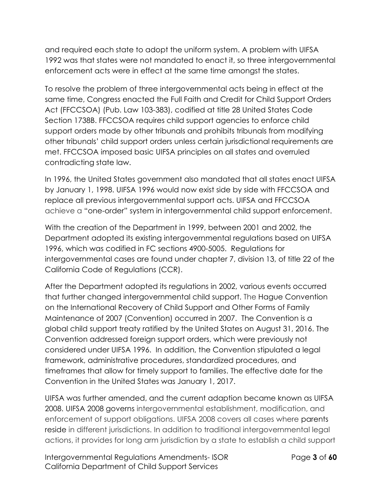and required each state to adopt the uniform system. A problem with UIFSA 1992 was that states were not mandated to enact it, so three intergovernmental enforcement acts were in effect at the same time amongst the states.

To resolve the problem of three intergovernmental acts being in effect at the same time, Congress enacted the Full Faith and Credit for Child Support Orders Act (FFCCSOA) (Pub. Law 103-383), codified at title 28 United States Code Section 1738B. FFCCSOA requires child support agencies to enforce child support orders made by other tribunals and prohibits tribunals from modifying other tribunals' child support orders unless certain jurisdictional requirements are met. FFCCSOA imposed basic UIFSA principles on all states and overruled contradicting state law.

In 1996, the United States government also mandated that all states enact UIFSA by January 1, 1998. UIFSA 1996 would now exist side by side with FFCCSOA and replace all previous intergovernmental support acts. UIFSA and FFCCSOA achieve a "one-order" system in intergovernmental child support enforcement.

With the creation of the Department in 1999, between 2001 and 2002, the Department adopted its existing intergovernmental regulations based on UIFSA 1996, which was codified in FC sections 4900-5005. Regulations for intergovernmental cases are found under chapter 7, division 13, of title 22 of the California Code of Regulations (CCR).

After the Department adopted its regulations in 2002, various events occurred that further changed intergovernmental child support. The Hague Convention on the International Recovery of Child Support and Other Forms of Family Maintenance of 2007 (Convention) occurred in 2007. The Convention is a global child support treaty ratified by the United States on August 31, 2016. The Convention addressed foreign support orders, which were previously not considered under UIFSA 1996. In addition, the Convention stipulated a legal framework, administrative procedures, standardized procedures, and timeframes that allow for timely support to families. The effective date for the Convention in the United States was January 1, 2017.

UIFSA was further amended, and the current adaption became known as UIFSA 2008. UIFSA 2008 governs intergovernmental establishment, modification, and enforcement of support obligations. UIFSA 2008 covers all cases where parents reside in different jurisdictions. In addition to traditional intergovernmental legal actions, it provides for long arm jurisdiction by a state to establish a child support

Intergovernmental Regulations Amendments- ISOR Page **3** of **60** California Department of Child Support Services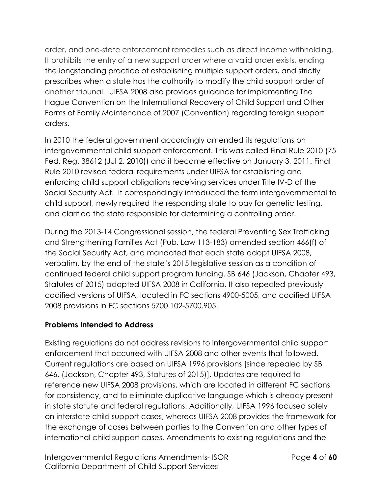order, and one-state enforcement remedies such as direct income withholding. It prohibits the entry of a new support order where a valid order exists, ending the longstanding practice of establishing multiple support orders, and strictly prescribes when a state has the authority to modify the child support order of another tribunal. UIFSA 2008 also provides guidance for implementing The Hague Convention on the International Recovery of Child Support and Other Forms of Family Maintenance of 2007 (Convention) regarding foreign support orders.

In 2010 the federal government accordingly amended its regulations on intergovernmental child support enforcement. This was called Final Rule 2010 (75 Fed. Reg. 38612 (Jul 2, 2010)) and it became effective on January 3, 2011. Final Rule 2010 revised federal requirements under UIFSA for establishing and enforcing child support obligations receiving services under Title IV-D of the Social Security Act. It correspondingly introduced the term intergovernmental to child support, newly required the responding state to pay for genetic testing, and clarified the state responsible for determining a controlling order.

During the 2013-14 Congressional session, the federal Preventing Sex Trafficking and Strengthening Families Act (Pub. Law 113-183) amended section 466(f) of the Social Security Act, and mandated that each state adopt UIFSA 2008, verbatim, by the end of the state's 2015 legislative session as a condition of continued federal child support program funding. SB 646 (Jackson, Chapter 493, Statutes of 2015) adopted UIFSA 2008 in California. It also repealed previously codified versions of UIFSA, located in FC sections 4900-5005, and codified UIFSA 2008 provisions in FC sections 5700.102-5700.905.

### **Problems Intended to Address**

Existing regulations do not address revisions to intergovernmental child support enforcement that occurred with UIFSA 2008 and other events that followed. Current regulations are based on UIFSA 1996 provisions [since repealed by SB 646, (Jackson, Chapter 493, Statutes of 2015)]. Updates are required to reference new UIFSA 2008 provisions, which are located in different FC sections for consistency, and to eliminate duplicative language which is already present in state statute and federal regulations. Additionally, UIFSA 1996 focused solely on interstate child support cases, whereas UIFSA 2008 provides the framework for the exchange of cases between parties to the Convention and other types of international child support cases. Amendments to existing regulations and the

Intergovernmental Regulations Amendments- ISOR Page **4** of **60** California Department of Child Support Services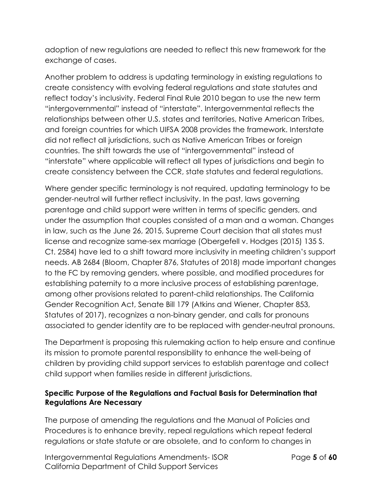adoption of new regulations are needed to reflect this new framework for the exchange of cases.

Another problem to address is updating terminology in existing regulations to create consistency with evolving federal regulations and state statutes and reflect today's inclusivity. Federal Final Rule 2010 began to use the new term "intergovernmental" instead of "interstate". Intergovernmental reflects the relationships between other U.S. states and territories, Native American Tribes, and foreign countries for which UIFSA 2008 provides the framework. Interstate did not reflect all jurisdictions, such as Native American Tribes or foreign countries. The shift towards the use of "intergovernmental" instead of "interstate" where applicable will reflect all types of jurisdictions and begin to create consistency between the CCR, state statutes and federal regulations.

Where gender specific terminology is not required, updating terminology to be gender-neutral will further reflect inclusivity. In the past, laws governing parentage and child support were written in terms of specific genders, and under the assumption that couples consisted of a man and a woman. Changes in law, such as the June 26, 2015, Supreme Court decision that all states must license and recognize same-sex marriage (Obergefell v. Hodges (2015) 135 S. Ct. 2584) have led to a shift toward more inclusivity in meeting children's support needs. AB 2684 (Bloom, Chapter 876, Statutes of 2018) made important changes to the FC by removing genders, where possible, and modified procedures for establishing paternity to a more inclusive process of establishing parentage, among other provisions related to parent-child relationships. The California Gender Recognition Act, Senate Bill 179 (Atkins and Wiener, Chapter 853, Statutes of 2017), recognizes a non-binary gender, and calls for pronouns associated to gender identity are to be replaced with gender-neutral pronouns.

The Department is proposing this rulemaking action to help ensure and continue its mission to promote parental responsibility to enhance the well-being of children by providing child support services to establish parentage and collect child support when families reside in different jurisdictions.

#### **Specific Purpose of the Regulations and Factual Basis for Determination that Regulations Are Necessary**

The purpose of amending the regulations and the Manual of Policies and Procedures is to enhance brevity, repeal regulations which repeat federal regulations or state statute or are obsolete, and to conform to changes in

Intergovernmental Regulations Amendments- ISOR Page **5** of **60** California Department of Child Support Services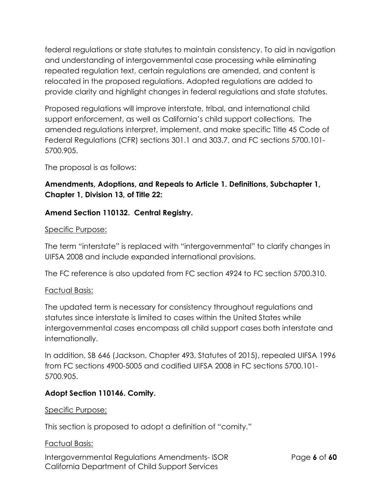federal regulations or state statutes to maintain consistency. To aid in navigation and understanding of intergovernmental case processing while eliminating repeated regulation text, certain regulations are amended, and content is relocated in the proposed regulations. Adopted regulations are added to provide clarity and highlight changes in federal regulations and state statutes.

Proposed regulations will improve interstate, tribal, and international child support enforcement, as well as California's child support collections. The amended regulations interpret, implement, and make specific Title 45 Code of Federal Regulations (CFR) sections 301.1 and 303.7, and FC sections 5700.101- 5700.905.

The proposal is as follows:

## **Amendments, Adoptions, and Repeals to Article 1. Definitions, Subchapter 1, Chapter 1, Division 13, of Title 22:**

### **Amend Section 110132. Central Registry.**

#### Specific Purpose:

The term "interstate" is replaced with "intergovernmental" to clarify changes in UIFSA 2008 and include expanded international provisions.

The FC reference is also updated from FC section 4924 to FC section 5700.310.

#### Factual Basis:

The updated term is necessary for consistency throughout regulations and statutes since interstate is limited to cases within the United States while intergovernmental cases encompass all child support cases both interstate and internationally.

In addition, SB 646 (Jackson, Chapter 493, Statutes of 2015), repealed UIFSA 1996 from FC sections 4900-5005 and codified UIFSA 2008 in FC sections 5700.101- 5700.905.

### **Adopt Section 110146. Comity.**

#### Specific Purpose:

This section is proposed to adopt a definition of "comity."

#### Factual Basis:

Intergovernmental Regulations Amendments- ISOR Page **6** of **60** California Department of Child Support Services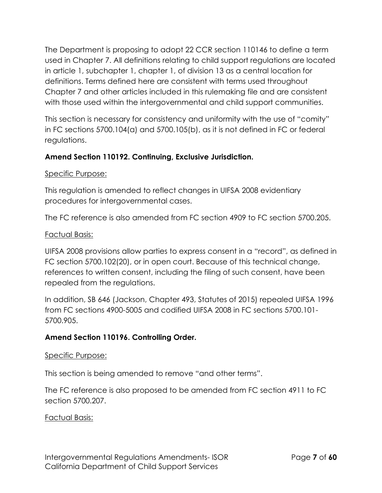The Department is proposing to adopt 22 CCR section 110146 to define a term used in Chapter 7. All definitions relating to child support regulations are located in article 1, subchapter 1, chapter 1, of division 13 as a central location for definitions. Terms defined here are consistent with terms used throughout Chapter 7 and other articles included in this rulemaking file and are consistent with those used within the intergovernmental and child support communities.

This section is necessary for consistency and uniformity with the use of "comity" in FC sections 5700.104(a) and 5700.105(b), as it is not defined in FC or federal regulations.

## **Amend Section 110192. Continuing, Exclusive Jurisdiction.**

#### Specific Purpose:

This regulation is amended to reflect changes in UIFSA 2008 evidentiary procedures for intergovernmental cases.

The FC reference is also amended from FC section 4909 to FC section 5700.205.

### Factual Basis:

UIFSA 2008 provisions allow parties to express consent in a "record", as defined in FC section 5700.102(20), or in open court. Because of this technical change, references to written consent, including the filing of such consent, have been repealed from the regulations.

In addition, SB 646 (Jackson, Chapter 493, Statutes of 2015) repealed UIFSA 1996 from FC sections 4900-5005 and codified UIFSA 2008 in FC sections 5700.101- 5700.905.

### **Amend Section 110196. Controlling Order.**

#### Specific Purpose:

This section is being amended to remove "and other terms".

The FC reference is also proposed to be amended from FC section 4911 to FC section 5700.207.

### Factual Basis: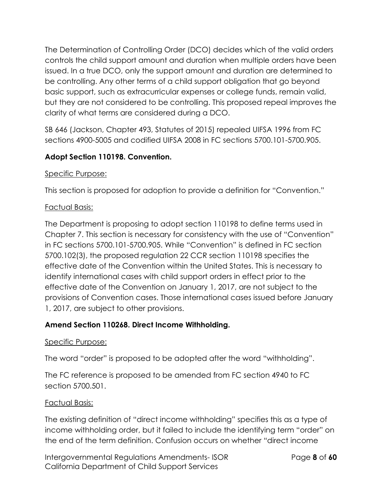The Determination of Controlling Order (DCO) decides which of the valid orders controls the child support amount and duration when multiple orders have been issued. In a true DCO, only the support amount and duration are determined to be controlling. Any other terms of a child support obligation that go beyond basic support, such as extracurricular expenses or college funds, remain valid, but they are not considered to be controlling. This proposed repeal improves the clarity of what terms are considered during a DCO.

SB 646 (Jackson, Chapter 493, Statutes of 2015) repealed UIFSA 1996 from FC sections 4900-5005 and codified UIFSA 2008 in FC sections 5700.101-5700.905.

### **Adopt Section 110198. Convention.**

#### Specific Purpose:

This section is proposed for adoption to provide a definition for "Convention."

#### Factual Basis:

The Department is proposing to adopt section 110198 to define terms used in Chapter 7. This section is necessary for consistency with the use of "Convention" in FC sections 5700.101-5700.905. While "Convention" is defined in FC section 5700.102(3), the proposed regulation 22 CCR section 110198 specifies the effective date of the Convention within the United States. This is necessary to identify international cases with child support orders in effect prior to the effective date of the Convention on January 1, 2017, are not subject to the provisions of Convention cases. Those international cases issued before January 1, 2017, are subject to other provisions.

### **Amend Section 110268. Direct Income Withholding.**

#### Specific Purpose:

The word "order" is proposed to be adopted after the word "withholding".

The FC reference is proposed to be amended from FC section 4940 to FC section 5700.501.

#### Factual Basis:

The existing definition of "direct income withholding" specifies this as a type of income withholding order, but it failed to include the identifying term "order" on the end of the term definition. Confusion occurs on whether "direct income

Intergovernmental Regulations Amendments- ISOR Page **8** of **60** California Department of Child Support Services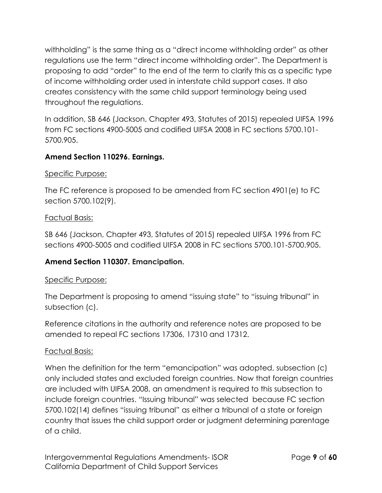withholding" is the same thing as a "direct income withholding order" as other regulations use the term "direct income withholding order". The Department is proposing to add "order" to the end of the term to clarify this as a specific type of income withholding order used in interstate child support cases. It also creates consistency with the same child support terminology being used throughout the regulations.

In addition, SB 646 (Jackson, Chapter 493, Statutes of 2015) repealed UIFSA 1996 from FC sections 4900-5005 and codified UIFSA 2008 in FC sections 5700.101- 5700.905.

## **Amend Section 110296. Earnings.**

#### Specific Purpose:

The FC reference is proposed to be amended from FC section 4901(e) to FC section 5700.102(9).

#### Factual Basis:

SB 646 (Jackson, Chapter 493, Statutes of 2015) repealed UIFSA 1996 from FC sections 4900-5005 and codified UIFSA 2008 in FC sections 5700.101-5700.905.

### **Amend Section 110307. Emancipation.**

### Specific Purpose:

The Department is proposing to amend "issuing state" to "issuing tribunal" in subsection (c).

Reference citations in the authority and reference notes are proposed to be amended to repeal FC sections 17306, 17310 and 17312.

### Factual Basis:

When the definition for the term "emancipation" was adopted, subsection (c) only included states and excluded foreign countries. Now that foreign countries are included with UIFSA 2008, an amendment is required to this subsection to include foreign countries. "Issuing tribunal" was selected because FC section 5700.102(14) defines "issuing tribunal" as either a tribunal of a state or foreign country that issues the child support order or judgment determining parentage of a child.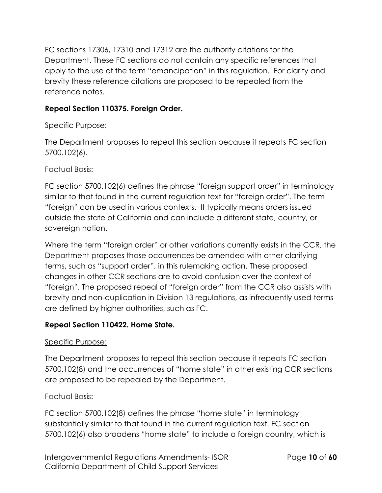FC sections 17306, 17310 and 17312 are the authority citations for the Department. These FC sections do not contain any specific references that apply to the use of the term "emancipation" in this regulation. For clarity and brevity these reference citations are proposed to be repealed from the reference notes.

## **Repeal Section 110375. Foreign Order.**

### Specific Purpose:

The Department proposes to repeal this section because it repeats FC section 5700.102(6).

### Factual Basis:

FC section 5700.102(6) defines the phrase "foreign support order" in terminology similar to that found in the current regulation text for "foreign order". The term "foreign" can be used in various contexts. It typically means orders issued outside the state of California and can include a different state, country, or sovereign nation.

Where the term "foreign order" or other variations currently exists in the CCR, the Department proposes those occurrences be amended with other clarifying terms, such as "support order", in this rulemaking action. These proposed changes in other CCR sections are to avoid confusion over the context of "foreign". The proposed repeal of "foreign order" from the CCR also assists with brevity and non-duplication in Division 13 regulations, as infrequently used terms are defined by higher authorities, such as FC.

### **Repeal Section 110422. Home State.**

#### Specific Purpose:

The Department proposes to repeal this section because it repeats FC section 5700.102(8) and the occurrences of "home state" in other existing CCR sections are proposed to be repealed by the Department.

#### Factual Basis:

FC section 5700.102(8) defines the phrase "home state" in terminology substantially similar to that found in the current regulation text. FC section 5700.102(6) also broadens "home state" to include a foreign country, which is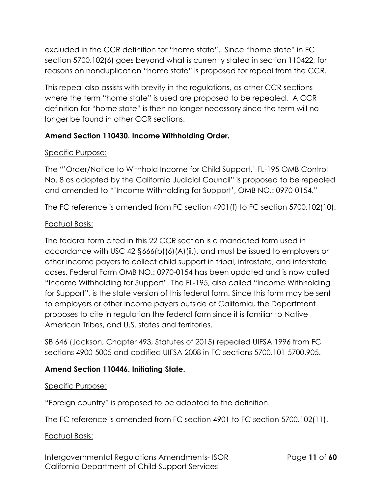excluded in the CCR definition for "home state". Since "home state" in FC section 5700.102(6) goes beyond what is currently stated in section 110422, for reasons on nonduplication "home state" is proposed for repeal from the CCR.

This repeal also assists with brevity in the regulations, as other CCR sections where the term "home state" is used are proposed to be repealed. A CCR definition for "home state" is then no longer necessary since the term will no longer be found in other CCR sections.

## **Amend Section 110430. Income Withholding Order.**

### Specific Purpose:

The "'Order/Notice to Withhold Income for Child Support,' FL-195 OMB Control No. 8 as adopted by the California Judicial Council" is proposed to be repealed and amended to "'Income Withholding for Support', OMB NO.: 0970-0154."

The FC reference is amended from FC section 4901(f) to FC section 5700.102(10).

### Factual Basis:

The federal form cited in this 22 CCR section is a mandated form used in accordance with USC 42 §666(b)(6)(A)(ii,), and must be issued to employers or other income payers to collect child support in tribal, intrastate, and interstate cases. Federal Form OMB NO.: 0970-0154 has been updated and is now called "Income Withholding for Support". The FL-195, also called "Income Withholding for Support", is the state version of this federal form. Since this form may be sent to employers or other income payers outside of California, the Department proposes to cite in regulation the federal form since it is familiar to Native American Tribes, and U.S. states and territories.

SB 646 (Jackson, Chapter 493, Statutes of 2015) repealed UIFSA 1996 from FC sections 4900-5005 and codified UIFSA 2008 in FC sections 5700.101-5700.905.

### **Amend Section 110446. Initiating State.**

#### Specific Purpose:

"Foreign country" is proposed to be adopted to the definition.

The FC reference is amended from FC section 4901 to FC section 5700.102(11).

### Factual Basis:

Intergovernmental Regulations Amendments- ISOR Page **11** of **60** California Department of Child Support Services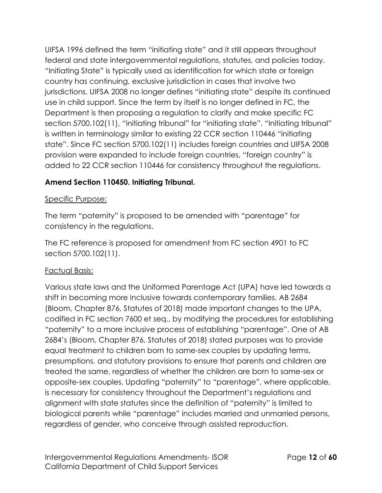UIFSA 1996 defined the term "initiating state" and it still appears throughout federal and state intergovernmental regulations, statutes, and policies today. "Initiating State" is typically used as identification for which state or foreign country has continuing, exclusive jurisdiction in cases that involve two jurisdictions. UIFSA 2008 no longer defines "initiating state" despite its continued use in child support. Since the term by itself is no longer defined in FC, the Department is then proposing a regulation to clarify and make specific FC section 5700.102(11), "initiating tribunal" for "initiating state". "Initiating tribunal" is written in terminology similar to existing 22 CCR section 110446 "initiating state". Since FC section 5700.102(11) includes foreign countries and UIFSA 2008 provision were expanded to include foreign countries, "foreign country" is added to 22 CCR section 110446 for consistency throughout the regulations.

# **Amend Section 110450. Initiating Tribunal.**

### Specific Purpose:

The term "paternity" is proposed to be amended with "parentage" for consistency in the regulations.

The FC reference is proposed for amendment from FC section 4901 to FC section 5700.102(11).

### Factual Basis:

Various state laws and the Uniformed Parentage Act (UPA) have led towards a shift in becoming more inclusive towards contemporary families. AB 2684 (Bloom, Chapter 876, Statutes of 2018) made important changes to the UPA, codified in FC section 7600 et seq., by modifying the procedures for establishing "paternity" to a more inclusive process of establishing "parentage". One of AB 2684's (Bloom, Chapter 876, Statutes of 2018) stated purposes was to provide equal treatment to children born to same-sex couples by updating terms, presumptions, and statutory provisions to ensure that parents and children are treated the same, regardless of whether the children are born to same-sex or opposite-sex couples. Updating "paternity" to "parentage", where applicable, is necessary for consistency throughout the Department's regulations and alignment with state statutes since the definition of "paternity" is limited to biological parents while "parentage" includes married and unmarried persons, regardless of gender, who conceive through assisted reproduction.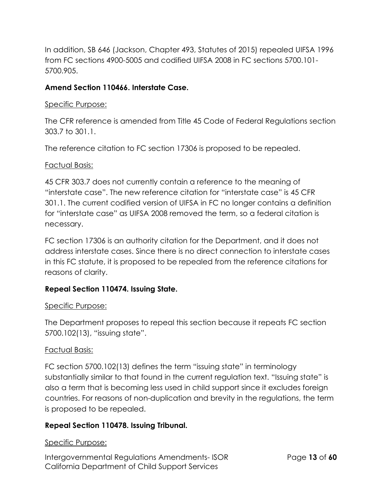In addition, SB 646 (Jackson, Chapter 493, Statutes of 2015) repealed UIFSA 1996 from FC sections 4900-5005 and codified UIFSA 2008 in FC sections 5700.101- 5700.905.

## **Amend Section 110466. Interstate Case.**

### Specific Purpose:

The CFR reference is amended from Title 45 Code of Federal Regulations section 303.7 to 301.1.

The reference citation to FC section 17306 is proposed to be repealed.

### Factual Basis:

45 CFR 303.7 does not currently contain a reference to the meaning of "interstate case". The new reference citation for "interstate case" is 45 CFR 301.1. The current codified version of UIFSA in FC no longer contains a definition for "interstate case" as UIFSA 2008 removed the term, so a federal citation is necessary.

FC section 17306 is an authority citation for the Department, and it does not address interstate cases. Since there is no direct connection to interstate cases in this FC statute, it is proposed to be repealed from the reference citations for reasons of clarity.

# **Repeal Section 110474. Issuing State.**

### Specific Purpose:

The Department proposes to repeal this section because it repeats FC section 5700.102(13), "issuing state".

### Factual Basis:

FC section 5700.102(13) defines the term "issuing state" in terminology substantially similar to that found in the current regulation text. "Issuing state" is also a term that is becoming less used in child support since it excludes foreign countries. For reasons of non-duplication and brevity in the regulations, the term is proposed to be repealed.

# **Repeal Section 110478. Issuing Tribunal.**

### Specific Purpose:

Intergovernmental Regulations Amendments- ISOR Page **13** of **60** California Department of Child Support Services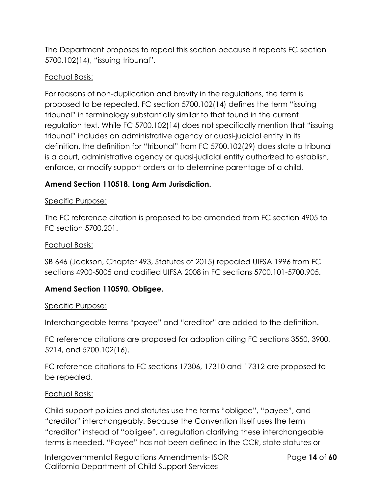The Department proposes to repeal this section because it repeats FC section 5700.102(14), "issuing tribunal".

#### Factual Basis:

For reasons of non-duplication and brevity in the regulations, the term is proposed to be repealed. FC section 5700.102(14) defines the term "issuing tribunal" in terminology substantially similar to that found in the current regulation text. While FC 5700.102(14) does not specifically mention that "issuing tribunal" includes an administrative agency or quasi-judicial entity in its definition, the definition for "tribunal" from FC 5700.102(29) does state a tribunal is a court, administrative agency or quasi-judicial entity authorized to establish, enforce, or modify support orders or to determine parentage of a child.

## **Amend Section 110518. Long Arm Jurisdiction.**

#### Specific Purpose:

The FC reference citation is proposed to be amended from FC section 4905 to FC section 5700.201.

#### Factual Basis:

SB 646 (Jackson, Chapter 493, Statutes of 2015) repealed UIFSA 1996 from FC sections 4900-5005 and codified UIFSA 2008 in FC sections 5700.101-5700.905.

### **Amend Section 110590. Obligee.**

#### Specific Purpose:

Interchangeable terms "payee" and "creditor" are added to the definition.

FC reference citations are proposed for adoption citing FC sections 3550, 3900, 5214, and 5700.102(16).

FC reference citations to FC sections 17306, 17310 and 17312 are proposed to be repealed.

#### Factual Basis:

Child support policies and statutes use the terms "obligee", "payee", and "creditor" interchangeably. Because the Convention itself uses the term "creditor" instead of "obligee", a regulation clarifying these interchangeable terms is needed. "Payee" has not been defined in the CCR, state statutes or

Intergovernmental Regulations Amendments- ISOR Page **14** of **60** California Department of Child Support Services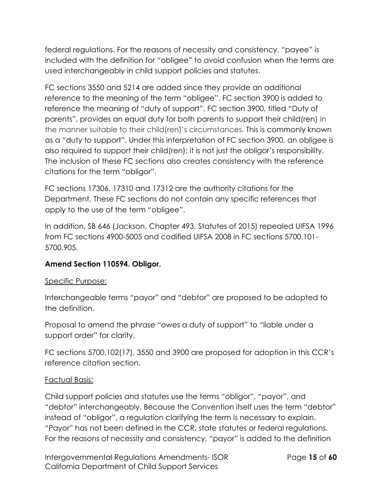federal regulations. For the reasons of necessity and consistency, "payee" is included with the definition for "obligee" to avoid confusion when the terms are used interchangeably in child support policies and statutes.

FC sections 3550 and 5214 are added since they provide an additional reference to the meaning of the term "obligee". FC section 3900 is added to reference the meaning of "duty of support". FC section 3900, titled "Duty of parents", provides an equal duty for both parents to support their child(ren) in the manner suitable to their child(ren)'s circumstances. This is commonly known as a "duty to support". Under this interpretation of FC section 3900, an obligee is also required to support their child(ren); it is not just the obligor's responsibility. The inclusion of these FC sections also creates consistency with the reference citations for the term "obligor".

FC sections 17306, 17310 and 17312 are the authority citations for the Department. These FC sections do not contain any specific references that apply to the use of the term "obligee".

In addition, SB 646 (Jackson, Chapter 493, Statutes of 2015) repealed UIFSA 1996 from FC sections 4900-5005 and codified UIFSA 2008 in FC sections 5700.101- 5700.905.

### **Amend Section 110594. Obligor.**

#### Specific Purpose:

Interchangeable terms "payor" and "debtor" are proposed to be adopted to the definition.

Proposal to amend the phrase "owes a duty of support" to "liable under a support order" for clarity.

FC sections 5700.102(17), 3550 and 3900 are proposed for adoption in this CCR's reference citation section.

#### Factual Basis:

Child support policies and statutes use the terms "obligor", "payor", and "debtor" interchangeably. Because the Convention itself uses the term "debtor" instead of "obligor", a regulation clarifying the term is necessary to explain. "Payor" has not been defined in the CCR, state statutes or federal regulations. For the reasons of necessity and consistency, "payor" is added to the definition

Intergovernmental Regulations Amendments- ISOR Page **15** of **60** California Department of Child Support Services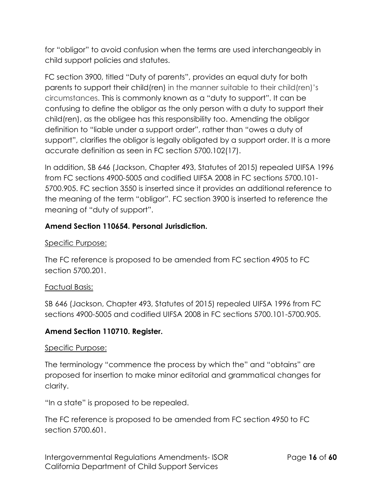for "obligor" to avoid confusion when the terms are used interchangeably in child support policies and statutes.

FC section 3900, titled "Duty of parents", provides an equal duty for both parents to support their child(ren) in the manner suitable to their child(ren)'s circumstances. This is commonly known as a "duty to support". It can be confusing to define the obligor as the only person with a duty to support their child(ren), as the obligee has this responsibility too. Amending the obligor definition to "liable under a support order", rather than "owes a duty of support", clarifies the obligor is legally obligated by a support order. It is a more accurate definition as seen in FC section 5700.102(17).

In addition, SB 646 (Jackson, Chapter 493, Statutes of 2015) repealed UIFSA 1996 from FC sections 4900-5005 and codified UIFSA 2008 in FC sections 5700.101- 5700.905. FC section 3550 is inserted since it provides an additional reference to the meaning of the term "obligor". FC section 3900 is inserted to reference the meaning of "duty of support".

### **Amend Section 110654. Personal Jurisdiction.**

#### Specific Purpose:

The FC reference is proposed to be amended from FC section 4905 to FC section 5700.201.

#### Factual Basis:

SB 646 (Jackson, Chapter 493, Statutes of 2015) repealed UIFSA 1996 from FC sections 4900-5005 and codified UIFSA 2008 in FC sections 5700.101-5700.905.

### **Amend Section 110710. Register.**

### Specific Purpose:

The terminology "commence the process by which the" and "obtains" are proposed for insertion to make minor editorial and grammatical changes for clarity.

"In a state" is proposed to be repealed.

The FC reference is proposed to be amended from FC section 4950 to FC section 5700.601.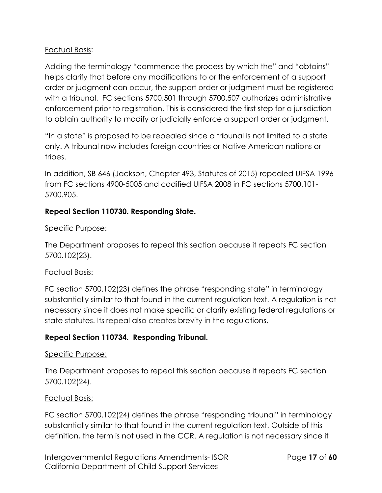#### Factual Basis:

Adding the terminology "commence the process by which the" and "obtains" helps clarify that before any modifications to or the enforcement of a support order or judgment can occur, the support order or judgment must be registered with a tribunal. FC sections 5700.501 through 5700.507 authorizes administrative enforcement prior to registration. This is considered the first step for a jurisdiction to obtain authority to modify or judicially enforce a support order or judgment.

"In a state" is proposed to be repealed since a tribunal is not limited to a state only. A tribunal now includes foreign countries or Native American nations or tribes.

In addition, SB 646 (Jackson, Chapter 493, Statutes of 2015) repealed UIFSA 1996 from FC sections 4900-5005 and codified UIFSA 2008 in FC sections 5700.101- 5700.905.

#### **Repeal Section 110730. Responding State.**

#### Specific Purpose:

The Department proposes to repeal this section because it repeats FC section 5700.102(23).

#### Factual Basis:

FC section 5700.102(23) defines the phrase "responding state" in terminology substantially similar to that found in the current regulation text. A regulation is not necessary since it does not make specific or clarify existing federal regulations or state statutes. Its repeal also creates brevity in the regulations.

### **Repeal Section 110734. Responding Tribunal.**

#### Specific Purpose:

The Department proposes to repeal this section because it repeats FC section 5700.102(24).

#### Factual Basis:

FC section 5700.102(24) defines the phrase "responding tribunal" in terminology substantially similar to that found in the current regulation text. Outside of this definition, the term is not used in the CCR. A regulation is not necessary since it

Intergovernmental Regulations Amendments- ISOR Page **17** of **60** California Department of Child Support Services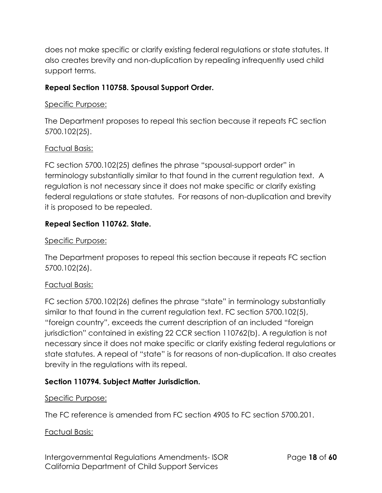does not make specific or clarify existing federal regulations or state statutes. It also creates brevity and non-duplication by repealing infrequently used child support terms.

### **Repeal Section 110758. Spousal Support Order.**

#### Specific Purpose:

The Department proposes to repeal this section because it repeats FC section 5700.102(25).

### Factual Basis:

FC section 5700.102(25) defines the phrase "spousal-support order" in terminology substantially similar to that found in the current regulation text. A regulation is not necessary since it does not make specific or clarify existing federal regulations or state statutes. For reasons of non-duplication and brevity it is proposed to be repealed.

### **Repeal Section 110762. State.**

#### Specific Purpose:

The Department proposes to repeal this section because it repeats FC section 5700.102(26).

### Factual Basis:

FC section 5700.102(26) defines the phrase "state" in terminology substantially similar to that found in the current regulation text. FC section 5700.102(5), "foreign country", exceeds the current description of an included "foreign jurisdiction" contained in existing 22 CCR section 110762(b). A regulation is not necessary since it does not make specific or clarify existing federal regulations or state statutes. A repeal of "state" is for reasons of non-duplication. It also creates brevity in the regulations with its repeal.

### **Section 110794. Subject Matter Jurisdiction.**

### Specific Purpose:

The FC reference is amended from FC section 4905 to FC section 5700.201.

#### Factual Basis:

Intergovernmental Regulations Amendments- ISOR Page **18** of **60** California Department of Child Support Services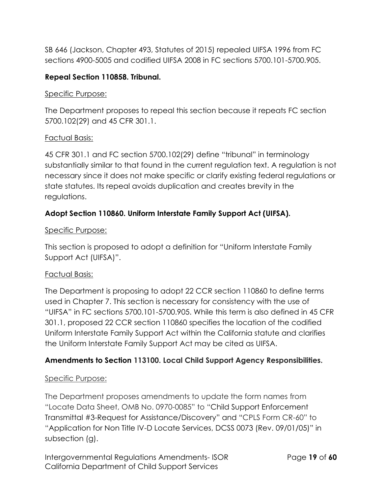SB 646 (Jackson, Chapter 493, Statutes of 2015) repealed UIFSA 1996 from FC sections 4900-5005 and codified UIFSA 2008 in FC sections 5700.101-5700.905.

## **Repeal Section 110858. Tribunal.**

#### Specific Purpose:

The Department proposes to repeal this section because it repeats FC section 5700.102(29) and 45 CFR 301.1.

#### Factual Basis:

45 CFR 301.1 and FC section 5700.102(29) define "tribunal" in terminology substantially similar to that found in the current regulation text. A regulation is not necessary since it does not make specific or clarify existing federal regulations or state statutes. Its repeal avoids duplication and creates brevity in the regulations.

## **Adopt Section 110860. Uniform Interstate Family Support Act (UIFSA).**

#### Specific Purpose:

This section is proposed to adopt a definition for "Uniform Interstate Family Support Act (UIFSA)".

### Factual Basis:

The Department is proposing to adopt 22 CCR section 110860 to define terms used in Chapter 7. This section is necessary for consistency with the use of "UIFSA" in FC sections 5700.101-5700.905. While this term is also defined in 45 CFR 301.1, proposed 22 CCR section 110860 specifies the location of the codified Uniform Interstate Family Support Act within the California statute and clarifies the Uniform Interstate Family Support Act may be cited as UIFSA.

### **Amendments to Section 113100. Local Child Support Agency Responsibilities.**

### Specific Purpose:

The Department proposes amendments to update the form names from "Locate Data Sheet, OMB No. 0970-0085" to "Child Support Enforcement Transmittal #3-Request for Assistance/Discovery" and "CPLS Form CR-60" to "Application for Non Title IV-D Locate Services, DCSS 0073 (Rev. 09/01/05)" in subsection (g).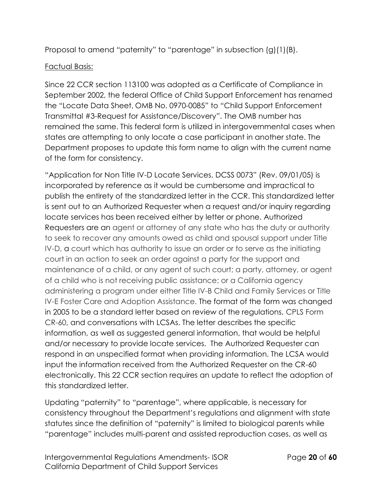Proposal to amend "paternity" to "parentage" in subsection (g)(1)(B).

## Factual Basis:

Since 22 CCR section 113100 was adopted as a Certificate of Compliance in September 2002, the federal Office of Child Support Enforcement has renamed the "Locate Data Sheet, OMB No. 0970-0085" to "Child Support Enforcement Transmittal #3-Request for Assistance/Discovery". The OMB number has remained the same. This federal form is utilized in intergovernmental cases when states are attempting to only locate a case participant in another state. The Department proposes to update this form name to align with the current name of the form for consistency.

"Application for Non Title IV-D Locate Services, DCSS 0073" (Rev. 09/01/05) is incorporated by reference as it would be cumbersome and impractical to publish the entirety of the standardized letter in the CCR. This standardized letter is sent out to an Authorized Requester when a request and/or inquiry regarding locate services has been received either by letter or phone. Authorized Requesters are an agent or attorney of any state who has the duty or authority to seek to recover any amounts owed as child and spousal support under Title IV-D, a court which has authority to issue an order or to serve as the initiating court in an action to seek an order against a party for the support and maintenance of a child, or any agent of such court; a party, attorney, or agent of a child who is not receiving public assistance; or a California agency administering a program under either Title IV-B Child and Family Services or Title IV-E Foster Care and Adoption Assistance. The format of the form was changed in 2005 to be a standard letter based on review of the regulations, CPLS Form CR-60, and conversations with LCSAs. The letter describes the specific information, as well as suggested general information, that would be helpful and/or necessary to provide locate services. The Authorized Requester can respond in an unspecified format when providing information. The LCSA would input the information received from the Authorized Requester on the CR-60 electronically. This 22 CCR section requires an update to reflect the adoption of this standardized letter.

Updating "paternity" to "parentage", where applicable, is necessary for consistency throughout the Department's regulations and alignment with state statutes since the definition of "paternity" is limited to biological parents while "parentage" includes multi-parent and assisted reproduction cases, as well as

Intergovernmental Regulations Amendments- ISOR Page **20** of **60** California Department of Child Support Services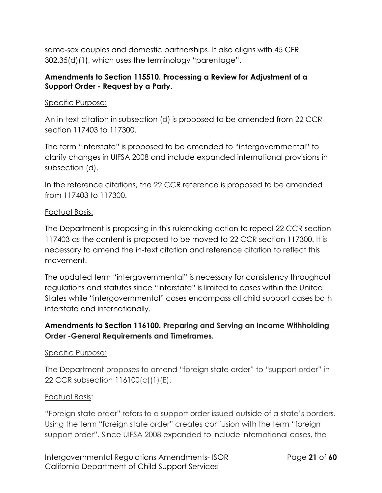same-sex couples and domestic partnerships. It also aligns with 45 CFR 302.35(d)(1), which uses the terminology "parentage".

#### **Amendments to Section 115510. Processing a Review for Adjustment of a Support Order - Request by a Party.**

#### Specific Purpose:

An in-text citation in subsection (d) is proposed to be amended from 22 CCR section 117403 to 117300.

The term "interstate" is proposed to be amended to "intergovernmental" to clarify changes in UIFSA 2008 and include expanded international provisions in subsection (d).

In the reference citations, the 22 CCR reference is proposed to be amended from 117403 to 117300.

#### Factual Basis:

The Department is proposing in this rulemaking action to repeal 22 CCR section 117403 as the content is proposed to be moved to 22 CCR section 117300. It is necessary to amend the in-text citation and reference citation to reflect this movement.

The updated term "intergovernmental" is necessary for consistency throughout regulations and statutes since "interstate" is limited to cases within the United States while "intergovernmental" cases encompass all child support cases both interstate and internationally.

## **Amendments to Section 116100. Preparing and Serving an Income Withholding Order -General Requirements and Timeframes.**

#### Specific Purpose:

The Department proposes to amend "foreign state order" to "support order" in 22 CCR subsection 116100(c)(1)(E).

#### Factual Basis:

"Foreign state order" refers to a support order issued outside of a state's borders. Using the term "foreign state order" creates confusion with the term "foreign support order". Since UIFSA 2008 expanded to include international cases, the

Intergovernmental Regulations Amendments- ISOR Page **21** of **60** California Department of Child Support Services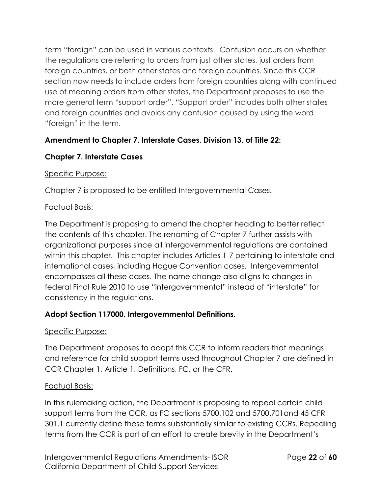term "foreign" can be used in various contexts. Confusion occurs on whether the regulations are referring to orders from just other states, just orders from foreign countries, or both other states and foreign countries. Since this CCR section now needs to include orders from foreign countries along with continued use of meaning orders from other states, the Department proposes to use the more general term "support order". "Support order" includes both other states and foreign countries and avoids any confusion caused by using the word "foreign" in the term.

# **Amendment to Chapter 7. Interstate Cases, Division 13, of Title 22:**

# **Chapter 7. Interstate Cases**

### Specific Purpose:

Chapter 7 is proposed to be entitled Intergovernmental Cases.

### Factual Basis:

The Department is proposing to amend the chapter heading to better reflect the contents of this chapter. The renaming of Chapter 7 further assists with organizational purposes since all intergovernmental regulations are contained within this chapter. This chapter includes Articles 1-7 pertaining to interstate and international cases, including Hague Convention cases. Intergovernmental encompasses all these cases. The name change also aligns to changes in federal Final Rule 2010 to use "intergovernmental" instead of "interstate" for consistency in the regulations.

# **Adopt Section 117000. Intergovernmental Definitions.**

### Specific Purpose:

The Department proposes to adopt this CCR to inform readers that meanings and reference for child support terms used throughout Chapter 7 are defined in CCR Chapter 1, Article 1. Definitions, FC, or the CFR.

### Factual Basis:

In this rulemaking action, the Department is proposing to repeal certain child support terms from the CCR, as FC sections 5700.102 and 5700.701and 45 CFR 301.1 currently define these terms substantially similar to existing CCRs. Repealing terms from the CCR is part of an effort to create brevity in the Department's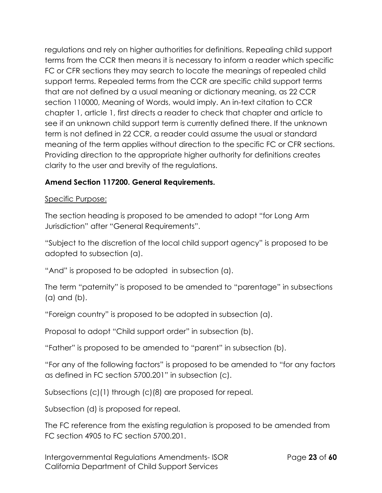regulations and rely on higher authorities for definitions. Repealing child support terms from the CCR then means it is necessary to inform a reader which specific FC or CFR sections they may search to locate the meanings of repealed child support terms. Repealed terms from the CCR are specific child support terms that are not defined by a usual meaning or dictionary meaning, as 22 CCR section 110000, Meaning of Words, would imply. An in-text citation to CCR chapter 1, article 1, first directs a reader to check that chapter and article to see if an unknown child support term is currently defined there. If the unknown term is not defined in 22 CCR, a reader could assume the usual or standard meaning of the term applies without direction to the specific FC or CFR sections. Providing direction to the appropriate higher authority for definitions creates clarity to the user and brevity of the regulations.

# **Amend Section 117200. General Requirements.**

## Specific Purpose:

The section heading is proposed to be amended to adopt "for Long Arm Jurisdiction" after "General Requirements".

"Subject to the discretion of the local child support agency" is proposed to be adopted to subsection (a).

"And" is proposed to be adopted in subsection (a).

The term "paternity" is proposed to be amended to "parentage" in subsections (a) and (b).

"Foreign country" is proposed to be adopted in subsection (a).

Proposal to adopt "Child support order" in subsection (b).

"Father" is proposed to be amended to "parent" in subsection (b).

"For any of the following factors" is proposed to be amended to "for any factors as defined in FC section 5700.201" in subsection (c).

Subsections (c)(1) through (c)(8) are proposed for repeal.

Subsection (d) is proposed for repeal.

The FC reference from the existing regulation is proposed to be amended from FC section 4905 to FC section 5700.201.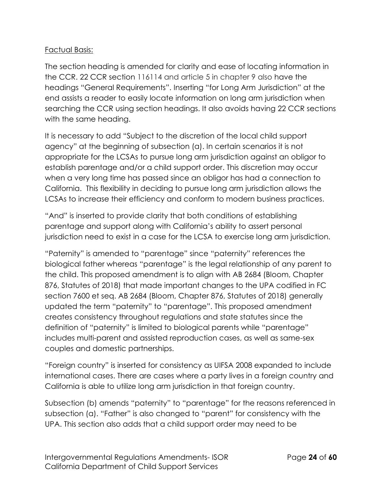#### Factual Basis:

The section heading is amended for clarity and ease of locating information in the CCR. 22 CCR section 116114 and article 5 in chapter 9 also have the headings "General Requirements". Inserting "for Long Arm Jurisdiction" at the end assists a reader to easily locate information on long arm jurisdiction when searching the CCR using section headings. It also avoids having 22 CCR sections with the same heading.

It is necessary to add "Subject to the discretion of the local child support agency" at the beginning of subsection (a). In certain scenarios it is not appropriate for the LCSAs to pursue long arm jurisdiction against an obligor to establish parentage and/or a child support order. This discretion may occur when a very long time has passed since an obligor has had a connection to California. This flexibility in deciding to pursue long arm jurisdiction allows the LCSAs to increase their efficiency and conform to modern business practices.

"And" is inserted to provide clarity that both conditions of establishing parentage and support along with California's ability to assert personal jurisdiction need to exist in a case for the LCSA to exercise long arm jurisdiction.

"Paternity" is amended to "parentage" since "paternity" references the biological father whereas "parentage" is the legal relationship of any parent to the child. This proposed amendment is to align with AB 2684 (Bloom, Chapter 876, Statutes of 2018) that made important changes to the UPA codified in FC section 7600 et seq. AB 2684 (Bloom, Chapter 876, Statutes of 2018) generally updated the term "paternity" to "parentage". This proposed amendment creates consistency throughout regulations and state statutes since the definition of "paternity" is limited to biological parents while "parentage" includes multi-parent and assisted reproduction cases, as well as same-sex couples and domestic partnerships.

"Foreign country" is inserted for consistency as UIFSA 2008 expanded to include international cases. There are cases where a party lives in a foreign country and California is able to utilize long arm jurisdiction in that foreign country.

Subsection (b) amends "paternity" to "parentage" for the reasons referenced in subsection (a). "Father" is also changed to "parent" for consistency with the UPA. This section also adds that a child support order may need to be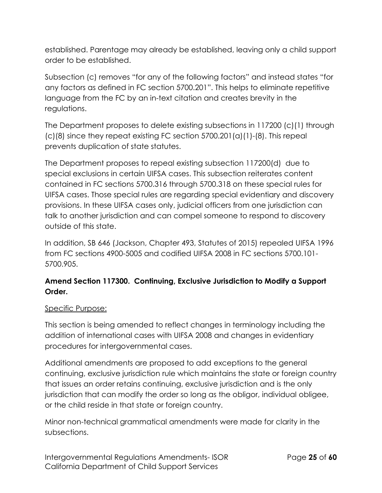established. Parentage may already be established, leaving only a child support order to be established.

Subsection (c) removes "for any of the following factors" and instead states "for any factors as defined in FC section 5700.201". This helps to eliminate repetitive language from the FC by an in-text citation and creates brevity in the regulations.

The Department proposes to delete existing subsections in 117200 (c)(1) through  $(c)(8)$  since they repeat existing FC section 5700.201 $(a)(1)$ - $(8)$ . This repeal prevents duplication of state statutes.

The Department proposes to repeal existing subsection 117200(d) due to special exclusions in certain UIFSA cases. This subsection reiterates content contained in FC sections 5700.316 through 5700.318 on these special rules for UIFSA cases. Those special rules are regarding special evidentiary and discovery provisions. In these UIFSA cases only, judicial officers from one jurisdiction can talk to another jurisdiction and can compel someone to respond to discovery outside of this state.

In addition, SB 646 (Jackson, Chapter 493, Statutes of 2015) repealed UIFSA 1996 from FC sections 4900-5005 and codified UIFSA 2008 in FC sections 5700.101- 5700.905.

## **Amend Section 117300. Continuing, Exclusive Jurisdiction to Modify a Support Order.**

#### Specific Purpose:

This section is being amended to reflect changes in terminology including the addition of international cases with UIFSA 2008 and changes in evidentiary procedures for intergovernmental cases.

Additional amendments are proposed to add exceptions to the general continuing, exclusive jurisdiction rule which maintains the state or foreign country that issues an order retains continuing, exclusive jurisdiction and is the only jurisdiction that can modify the order so long as the obligor, individual obligee, or the child reside in that state or foreign country.

Minor non-technical grammatical amendments were made for clarity in the subsections.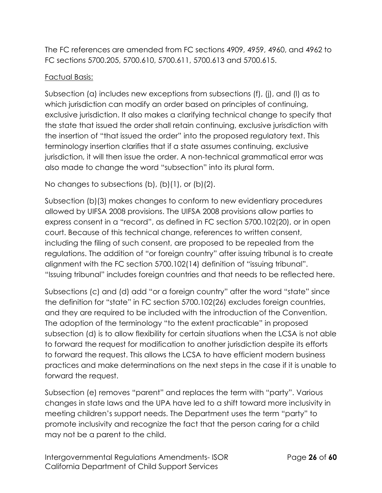The FC references are amended from FC sections 4909, 4959, 4960, and 4962 to FC sections 5700.205, 5700.610, 5700.611, 5700.613 and 5700.615.

## Factual Basis:

Subsection (a) includes new exceptions from subsections (f), (j), and (l) as to which jurisdiction can modify an order based on principles of continuing, exclusive jurisdiction. It also makes a clarifying technical change to specify that the state that issued the order shall retain continuing, exclusive jurisdiction with the insertion of "that issued the order" into the proposed regulatory text. This terminology insertion clarifies that if a state assumes continuing, exclusive jurisdiction, it will then issue the order. A non-technical grammatical error was also made to change the word "subsection" into its plural form.

No changes to subsections (b), (b)(1), or (b)(2).

Subsection (b)(3) makes changes to conform to new evidentiary procedures allowed by UIFSA 2008 provisions. The UIFSA 2008 provisions allow parties to express consent in a "record", as defined in FC section 5700.102(20), or in open court. Because of this technical change, references to written consent, including the filing of such consent, are proposed to be repealed from the regulations. The addition of "or foreign country" after issuing tribunal is to create alignment with the FC section 5700.102(14) definition of "issuing tribunal". "Issuing tribunal" includes foreign countries and that needs to be reflected here.

Subsections (c) and (d) add "or a foreign country" after the word "state" since the definition for "state" in FC section 5700.102(26) excludes foreign countries, and they are required to be included with the introduction of the Convention. The adoption of the terminology "to the extent practicable" in proposed subsection (d) is to allow flexibility for certain situations when the LCSA is not able to forward the request for modification to another jurisdiction despite its efforts to forward the request. This allows the LCSA to have efficient modern business practices and make determinations on the next steps in the case if it is unable to forward the request.

Subsection (e) removes "parent" and replaces the term with "party". Various changes in state laws and the UPA have led to a shift toward more inclusivity in meeting children's support needs. The Department uses the term "party" to promote inclusivity and recognize the fact that the person caring for a child may not be a parent to the child.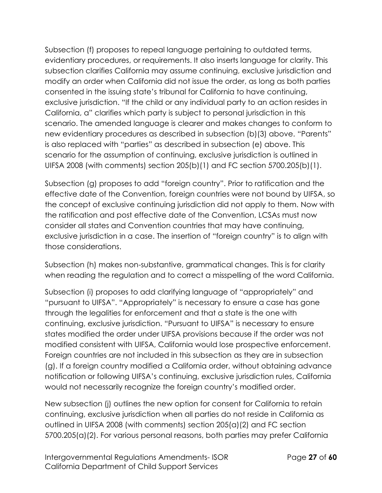Subsection (f) proposes to repeal language pertaining to outdated terms, evidentiary procedures, or requirements. It also inserts language for clarity. This subsection clarifies California may assume continuing, exclusive jurisdiction and modify an order when California did not issue the order, as long as both parties consented in the issuing state's tribunal for California to have continuing, exclusive jurisdiction. "If the child or any individual party to an action resides in California, a" clarifies which party is subject to personal jurisdiction in this scenario. The amended language is clearer and makes changes to conform to new evidentiary procedures as described in subsection (b)(3) above. "Parents" is also replaced with "parties" as described in subsection (e) above. This scenario for the assumption of continuing, exclusive jurisdiction is outlined in UIFSA 2008 (with comments) section 205(b)(1) and FC section 5700.205(b)(1).

Subsection (g) proposes to add "foreign country". Prior to ratification and the effective date of the Convention, foreign countries were not bound by UIFSA, so the concept of exclusive continuing jurisdiction did not apply to them. Now with the ratification and post effective date of the Convention, LCSAs must now consider all states and Convention countries that may have continuing, exclusive jurisdiction in a case. The insertion of "foreign country" is to align with those considerations.

Subsection (h) makes non-substantive, grammatical changes. This is for clarity when reading the regulation and to correct a misspelling of the word California.

Subsection (i) proposes to add clarifying language of "appropriately" and "pursuant to UIFSA". "Appropriately" is necessary to ensure a case has gone through the legalities for enforcement and that a state is the one with continuing, exclusive jurisdiction. "Pursuant to UIFSA" is necessary to ensure states modified the order under UIFSA provisions because if the order was not modified consistent with UIFSA, California would lose prospective enforcement. Foreign countries are not included in this subsection as they are in subsection (g). If a foreign country modified a California order, without obtaining advance notification or following UIFSA's continuing, exclusive jurisdiction rules, California would not necessarily recognize the foreign country's modified order.

New subsection (j) outlines the new option for consent for California to retain continuing, exclusive jurisdiction when all parties do not reside in California as outlined in UIFSA 2008 (with comments) section 205(a)(2) and FC section 5700.205(a)(2). For various personal reasons, both parties may prefer California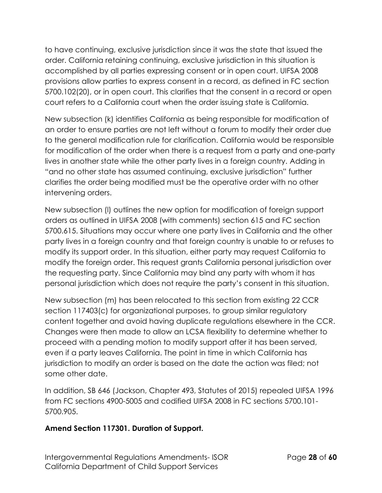to have continuing, exclusive jurisdiction since it was the state that issued the order. California retaining continuing, exclusive jurisdiction in this situation is accomplished by all parties expressing consent or in open court. UIFSA 2008 provisions allow parties to express consent in a record, as defined in FC section 5700.102(20), or in open court. This clarifies that the consent in a record or open court refers to a California court when the order issuing state is California.

New subsection (k) identifies California as being responsible for modification of an order to ensure parties are not left without a forum to modify their order due to the general modification rule for clarification. California would be responsible for modification of the order when there is a request from a party and one-party lives in another state while the other party lives in a foreign country. Adding in "and no other state has assumed continuing, exclusive jurisdiction" further clarifies the order being modified must be the operative order with no other intervening orders.

New subsection (l) outlines the new option for modification of foreign support orders as outlined in UIFSA 2008 (with comments) section 615 and FC section 5700.615. Situations may occur where one party lives in California and the other party lives in a foreign country and that foreign country is unable to or refuses to modify its support order. In this situation, either party may request California to modify the foreign order. This request grants California personal jurisdiction over the requesting party. Since California may bind any party with whom it has personal jurisdiction which does not require the party's consent in this situation.

New subsection (m) has been relocated to this section from existing 22 CCR section 117403(c) for organizational purposes, to group similar regulatory content together and avoid having duplicate regulations elsewhere in the CCR. Changes were then made to allow an LCSA flexibility to determine whether to proceed with a pending motion to modify support after it has been served, even if a party leaves California. The point in time in which California has jurisdiction to modify an order is based on the date the action was filed; not some other date.

In addition, SB 646 (Jackson, Chapter 493, Statutes of 2015) repealed UIFSA 1996 from FC sections 4900-5005 and codified UIFSA 2008 in FC sections 5700.101- 5700.905.

### **Amend Section 117301. Duration of Support.**

Intergovernmental Regulations Amendments- ISOR Page **28** of **60** California Department of Child Support Services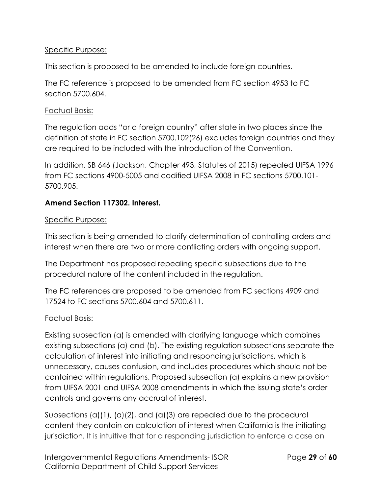#### Specific Purpose:

This section is proposed to be amended to include foreign countries.

The FC reference is proposed to be amended from FC section 4953 to FC section 5700.604.

#### Factual Basis:

The regulation adds "or a foreign country" after state in two places since the definition of state in FC section 5700.102(26) excludes foreign countries and they are required to be included with the introduction of the Convention.

In addition, SB 646 (Jackson, Chapter 493, Statutes of 2015) repealed UIFSA 1996 from FC sections 4900-5005 and codified UIFSA 2008 in FC sections 5700.101- 5700.905.

## **Amend Section 117302. Interest.**

#### Specific Purpose:

This section is being amended to clarify determination of controlling orders and interest when there are two or more conflicting orders with ongoing support.

The Department has proposed repealing specific subsections due to the procedural nature of the content included in the regulation.

The FC references are proposed to be amended from FC sections 4909 and 17524 to FC sections 5700.604 and 5700.611.

#### Factual Basis:

Existing subsection (a) is amended with clarifying language which combines existing subsections (a) and (b). The existing regulation subsections separate the calculation of interest into initiating and responding jurisdictions, which is unnecessary, causes confusion, and includes procedures which should not be contained within regulations. Proposed subsection (a) explains a new provision from UIFSA 2001 and UIFSA 2008 amendments in which the issuing state's order controls and governs any accrual of interest.

Subsections (a)(1), (a)(2), and (a)(3) are repealed due to the procedural content they contain on calculation of interest when California is the initiating jurisdiction. It is intuitive that for a responding jurisdiction to enforce a case on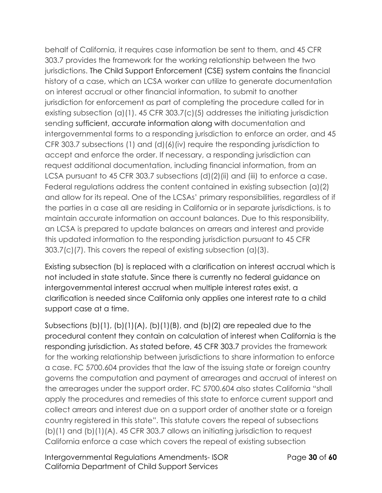behalf of California, it requires case information be sent to them, and 45 CFR 303.7 provides the framework for the working relationship between the two jurisdictions. The Child Support Enforcement (CSE) system contains the financial history of a case, which an LCSA worker can utilize to generate documentation on interest accrual or other financial information, to submit to another jurisdiction for enforcement as part of completing the procedure called for in existing subsection (a)(1). 45 CFR 303.7(c)(5) addresses the initiating jurisdiction sending sufficient, accurate information along with documentation and intergovernmental forms to a responding jurisdiction to enforce an order, and 45 CFR 303.7 subsections (1) and (d)(6)(iv) require the responding jurisdiction to accept and enforce the order. If necessary, a responding jurisdiction can request additional documentation, including financial information, from an LCSA pursuant to 45 CFR 303.7 subsections (d)(2)(ii) and (iii) to enforce a case. Federal regulations address the content contained in existing subsection (a)(2) and allow for its repeal. One of the LCSAs' primary responsibilities, regardless of if the parties in a case all are residing in California or in separate jurisdictions, is to maintain accurate information on account balances. Due to this responsibility, an LCSA is prepared to update balances on arrears and interest and provide this updated information to the responding jurisdiction pursuant to 45 CFR 303.7(c)(7). This covers the repeal of existing subsection (a)(3).

Existing subsection (b) is replaced with a clarification on interest accrual which is not included in state statute. Since there is currently no federal guidance on intergovernmental interest accrual when multiple interest rates exist, a clarification is needed since California only applies one interest rate to a child support case at a time.

Subsections  $(b)(1)$ ,  $(b)(1)(A)$ ,  $(b)(1)(B)$ , and  $(b)(2)$  are repealed due to the procedural content they contain on calculation of interest when California is the responding jurisdiction. As stated before, 45 CFR 303.7 provides the framework for the working relationship between jurisdictions to share information to enforce a case. FC 5700.604 provides that the law of the issuing state or foreign country governs the computation and payment of arrearages and accrual of interest on the arrearages under the support order. FC 5700.604 also states California "shall apply the procedures and remedies of this state to enforce current support and collect arrears and interest due on a support order of another state or a foreign country registered in this state". This statute covers the repeal of subsections (b)(1) and (b)(1)(A). 45 CFR 303.7 allows an initiating jurisdiction to request California enforce a case which covers the repeal of existing subsection

Intergovernmental Regulations Amendments- ISOR Page **30** of **60** California Department of Child Support Services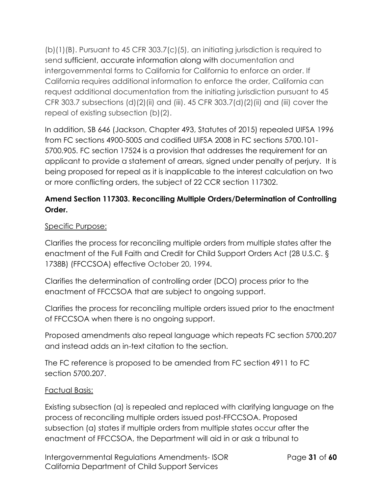(b)(1)(B). Pursuant to 45 CFR 303.7(c)(5), an initiating jurisdiction is required to send sufficient, accurate information along with documentation and intergovernmental forms to California for California to enforce an order. If California requires additional information to enforce the order, California can request additional documentation from the initiating jurisdiction pursuant to 45 CFR 303.7 subsections (d)(2)(ii) and (iii). 45 CFR 303.7(d)(2)(ii) and (iii) cover the repeal of existing subsection (b)(2).

In addition, SB 646 (Jackson, Chapter 493, Statutes of 2015) repealed UIFSA 1996 from FC sections 4900-5005 and codified UIFSA 2008 in FC sections 5700.101- 5700.905. FC section 17524 is a provision that addresses the requirement for an applicant to provide a statement of arrears, signed under penalty of perjury. It is being proposed for repeal as it is inapplicable to the interest calculation on two or more conflicting orders, the subject of 22 CCR section 117302.

# **Amend Section 117303. Reconciling Multiple Orders/Determination of Controlling Order.**

## Specific Purpose:

Clarifies the process for reconciling multiple orders from multiple states after the enactment of the Full Faith and Credit for Child Support Orders Act (28 U.S.C. § 1738B) (FFCCSOA) effective October 20, 1994.

Clarifies the determination of controlling order (DCO) process prior to the enactment of FFCCSOA that are subject to ongoing support.

Clarifies the process for reconciling multiple orders issued prior to the enactment of FFCCSOA when there is no ongoing support.

Proposed amendments also repeal language which repeats FC section 5700.207 and instead adds an in-text citation to the section.

The FC reference is proposed to be amended from FC section 4911 to FC section 5700.207.

### Factual Basis:

Existing subsection (a) is repealed and replaced with clarifying language on the process of reconciling multiple orders issued post-FFCCSOA. Proposed subsection (a) states if multiple orders from multiple states occur after the enactment of FFCCSOA, the Department will aid in or ask a tribunal to

Intergovernmental Regulations Amendments- ISOR Page **31** of **60** California Department of Child Support Services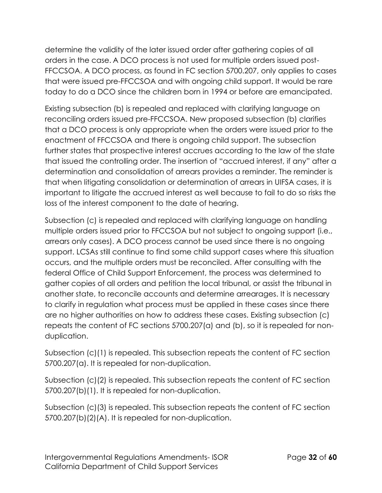determine the validity of the later issued order after gathering copies of all orders in the case. A DCO process is not used for multiple orders issued post-FFCCSOA. A DCO process, as found in FC section 5700.207, only applies to cases that were issued pre-FFCCSOA and with ongoing child support. It would be rare today to do a DCO since the children born in 1994 or before are emancipated.

Existing subsection (b) is repealed and replaced with clarifying language on reconciling orders issued pre-FFCCSOA. New proposed subsection (b) clarifies that a DCO process is only appropriate when the orders were issued prior to the enactment of FFCCSOA and there is ongoing child support. The subsection further states that prospective interest accrues according to the law of the state that issued the controlling order. The insertion of "accrued interest, if any" after a determination and consolidation of arrears provides a reminder. The reminder is that when litigating consolidation or determination of arrears in UIFSA cases, it is important to litigate the accrued interest as well because to fail to do so risks the loss of the interest component to the date of hearing.

Subsection (c) is repealed and replaced with clarifying language on handling multiple orders issued prior to FFCCSOA but not subject to ongoing support (i.e., arrears only cases). A DCO process cannot be used since there is no ongoing support. LCSAs still continue to find some child support cases where this situation occurs, and the multiple orders must be reconciled. After consulting with the federal Office of Child Support Enforcement, the process was determined to gather copies of all orders and petition the local tribunal, or assist the tribunal in another state, to reconcile accounts and determine arrearages. It is necessary to clarify in regulation what process must be applied in these cases since there are no higher authorities on how to address these cases. Existing subsection (c) repeats the content of FC sections 5700.207(a) and (b), so it is repealed for nonduplication.

Subsection (c)(1) is repealed. This subsection repeats the content of FC section 5700.207(a). It is repealed for non-duplication.

Subsection (c)(2) is repealed. This subsection repeats the content of FC section 5700.207(b)(1). It is repealed for non-duplication.

Subsection (c)(3) is repealed. This subsection repeats the content of FC section 5700.207(b)(2)(A). It is repealed for non-duplication.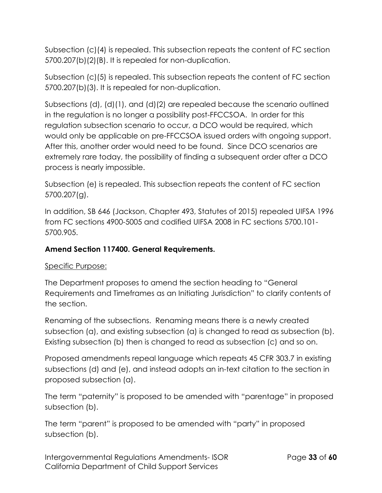Subsection (c)(4) is repealed. This subsection repeats the content of FC section 5700.207(b)(2)(B). It is repealed for non-duplication.

Subsection (c)(5) is repealed. This subsection repeats the content of FC section 5700.207(b)(3). It is repealed for non-duplication.

Subsections (d), (d)(1), and (d)(2) are repealed because the scenario outlined in the regulation is no longer a possibility post-FFCCSOA. In order for this regulation subsection scenario to occur, a DCO would be required, which would only be applicable on pre-FFCCSOA issued orders with ongoing support. After this, another order would need to be found. Since DCO scenarios are extremely rare today, the possibility of finding a subsequent order after a DCO process is nearly impossible.

Subsection (e) is repealed. This subsection repeats the content of FC section 5700.207(g).

In addition, SB 646 (Jackson, Chapter 493, Statutes of 2015) repealed UIFSA 1996 from FC sections 4900-5005 and codified UIFSA 2008 in FC sections 5700.101- 5700.905.

### **Amend Section 117400. General Requirements.**

### Specific Purpose:

The Department proposes to amend the section heading to "General Requirements and Timeframes as an Initiating Jurisdiction" to clarify contents of the section.

Renaming of the subsections. Renaming means there is a newly created subsection (a), and existing subsection (a) is changed to read as subsection (b). Existing subsection (b) then is changed to read as subsection (c) and so on.

Proposed amendments repeal language which repeats 45 CFR 303.7 in existing subsections (d) and (e), and instead adopts an in-text citation to the section in proposed subsection (a).

The term "paternity" is proposed to be amended with "parentage" in proposed subsection (b).

The term "parent" is proposed to be amended with "party" in proposed subsection (b).

Intergovernmental Regulations Amendments- ISOR Page **33** of **60** California Department of Child Support Services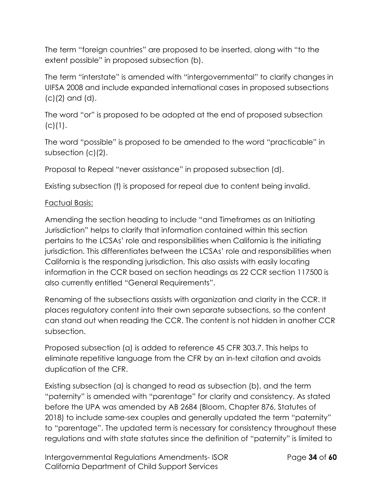The term "foreign countries" are proposed to be inserted, along with "to the extent possible" in proposed subsection (b).

The term "interstate" is amended with "intergovernmental" to clarify changes in UIFSA 2008 and include expanded international cases in proposed subsections (c)(2) and (d).

The word "or" is proposed to be adopted at the end of proposed subsection  $(C)(1)$ .

The word "possible" is proposed to be amended to the word "practicable" in subsection (c)(2).

Proposal to Repeal "never assistance" in proposed subsection (d).

Existing subsection (f) is proposed for repeal due to content being invalid.

#### Factual Basis:

Amending the section heading to include "and Timeframes as an Initiating Jurisdiction" helps to clarify that information contained within this section pertains to the LCSAs' role and responsibilities when California is the initiating jurisdiction. This differentiates between the LCSAs' role and responsibilities when California is the responding jurisdiction. This also assists with easily locating information in the CCR based on section headings as 22 CCR section 117500 is also currently entitled "General Requirements".

Renaming of the subsections assists with organization and clarity in the CCR. It places regulatory content into their own separate subsections, so the content can stand out when reading the CCR. The content is not hidden in another CCR subsection.

Proposed subsection (a) is added to reference 45 CFR 303.7. This helps to eliminate repetitive language from the CFR by an in-text citation and avoids duplication of the CFR.

Existing subsection (a) is changed to read as subsection (b), and the term "paternity" is amended with "parentage" for clarity and consistency. As stated before the UPA was amended by AB 2684 (Bloom, Chapter 876, Statutes of 2018) to include same-sex couples and generally updated the term "paternity" to "parentage". The updated term is necessary for consistency throughout these regulations and with state statutes since the definition of "paternity" is limited to

Intergovernmental Regulations Amendments- ISOR Page **34** of **60** California Department of Child Support Services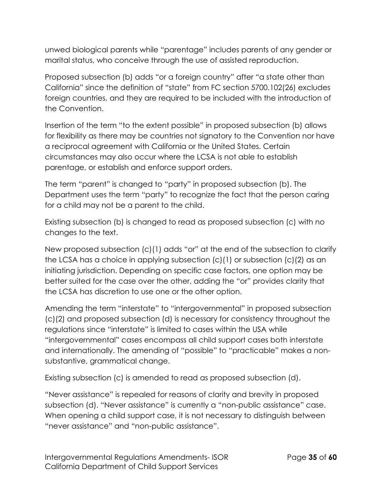unwed biological parents while "parentage" includes parents of any gender or marital status, who conceive through the use of assisted reproduction.

Proposed subsection (b) adds "or a foreign country" after "a state other than California" since the definition of "state" from FC section 5700.102(26) excludes foreign countries, and they are required to be included with the introduction of the Convention.

Insertion of the term "to the extent possible" in proposed subsection (b) allows for flexibility as there may be countries not signatory to the Convention nor have a reciprocal agreement with California or the United States. Certain circumstances may also occur where the LCSA is not able to establish parentage, or establish and enforce support orders.

The term "parent" is changed to "party" in proposed subsection (b). The Department uses the term "party" to recognize the fact that the person caring for a child may not be a parent to the child.

Existing subsection (b) is changed to read as proposed subsection (c) with no changes to the text.

New proposed subsection (c)(1) adds "or" at the end of the subsection to clarify the LCSA has a choice in applying subsection (c)(1) or subsection (c)(2) as an initiating jurisdiction. Depending on specific case factors, one option may be better suited for the case over the other, adding the "or" provides clarity that the LCSA has discretion to use one or the other option.

Amending the term "interstate" to "intergovernmental" in proposed subsection (c)(2) and proposed subsection (d) is necessary for consistency throughout the regulations since "interstate" is limited to cases within the USA while "intergovernmental" cases encompass all child support cases both interstate and internationally. The amending of "possible" to "practicable" makes a nonsubstantive, grammatical change.

Existing subsection (c) is amended to read as proposed subsection (d).

"Never assistance" is repealed for reasons of clarity and brevity in proposed subsection (d). "Never assistance" is currently a "non-public assistance" case. When opening a child support case, it is not necessary to distinguish between "never assistance" and "non-public assistance".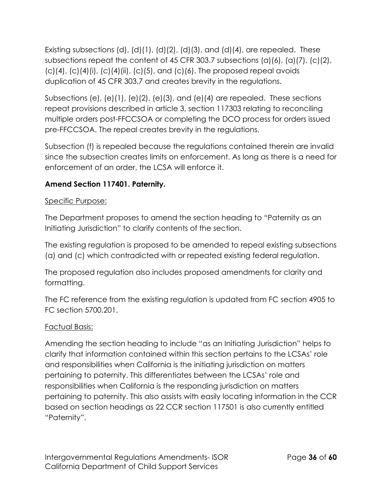Existing subsections (d), (d)(1), (d)(2), (d)(3), and (d)(4), are repealed. These subsections repeat the content of 45 CFR 303.7 subsections (a)(6), (a)(7), (c)(2),  $(c)(4)$ ,  $(c)(4)(i)$ ,  $(c)(4)(ii)$ ,  $(c)(5)$ , and  $(c)(6)$ . The proposed repeal avoids duplication of 45 CFR 303.7 and creates brevity in the regulations.

Subsections (e), (e)(1), (e)(2), (e)(3), and (e)(4) are repealed. These sections repeat provisions described in article 3, section 117303 relating to reconciling multiple orders post-FFCCSOA or completing the DCO process for orders issued pre-FFCCSOA. The repeal creates brevity in the regulations.

Subsection (f) is repealed because the regulations contained therein are invalid since the subsection creates limits on enforcement. As long as there is a need for enforcement of an order, the LCSA will enforce it.

# **Amend Section 117401. Paternity.**

## Specific Purpose:

The Department proposes to amend the section heading to "Paternity as an Initiating Jurisdiction" to clarify contents of the section.

The existing regulation is proposed to be amended to repeal existing subsections (a) and (c) which contradicted with or repeated existing federal regulation.

The proposed regulation also includes proposed amendments for clarity and formatting.

The FC reference from the existing regulation is updated from FC section 4905 to FC section 5700.201.

### Factual Basis:

Amending the section heading to include "as an Initiating Jurisdiction" helps to clarify that information contained within this section pertains to the LCSAs' role and responsibilities when California is the initiating jurisdiction on matters pertaining to paternity. This differentiates between the LCSAs' role and responsibilities when California is the responding jurisdiction on matters pertaining to paternity. This also assists with easily locating information in the CCR based on section headings as 22 CCR section 117501 is also currently entitled "Paternity".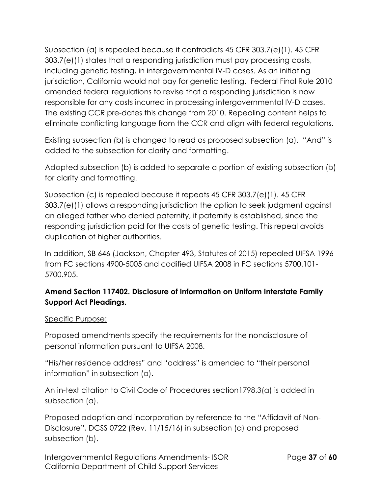Subsection (a) is repealed because it contradicts 45 CFR 303.7(e)(1). 45 CFR 303.7(e)(1) states that a responding jurisdiction must pay processing costs, including genetic testing, in intergovernmental IV-D cases. As an initiating jurisdiction, California would not pay for genetic testing. Federal Final Rule 2010 amended federal regulations to revise that a responding jurisdiction is now responsible for any costs incurred in processing intergovernmental IV-D cases. The existing CCR pre-dates this change from 2010. Repealing content helps to eliminate conflicting language from the CCR and align with federal regulations.

Existing subsection (b) is changed to read as proposed subsection (a). "And" is added to the subsection for clarity and formatting.

Adopted subsection (b) is added to separate a portion of existing subsection (b) for clarity and formatting.

Subsection (c) is repealed because it repeats 45 CFR 303.7(e)(1). 45 CFR 303.7(e)(1) allows a responding jurisdiction the option to seek judgment against an alleged father who denied paternity, if paternity is established, since the responding jurisdiction paid for the costs of genetic testing. This repeal avoids duplication of higher authorities.

In addition, SB 646 (Jackson, Chapter 493, Statutes of 2015) repealed UIFSA 1996 from FC sections 4900-5005 and codified UIFSA 2008 in FC sections 5700.101- 5700.905.

# **Amend Section 117402. Disclosure of Information on Uniform Interstate Family Support Act Pleadings.**

#### Specific Purpose:

Proposed amendments specify the requirements for the nondisclosure of personal information pursuant to UIFSA 2008.

"His/her residence address" and "address" is amended to "their personal information" in subsection (a).

An in-text citation to Civil Code of Procedures section1798.3(a) is added in subsection (a).

Proposed adoption and incorporation by reference to the "Affidavit of Non-Disclosure", DCSS 0722 (Rev. 11/15/16) in subsection (a) and proposed subsection (b).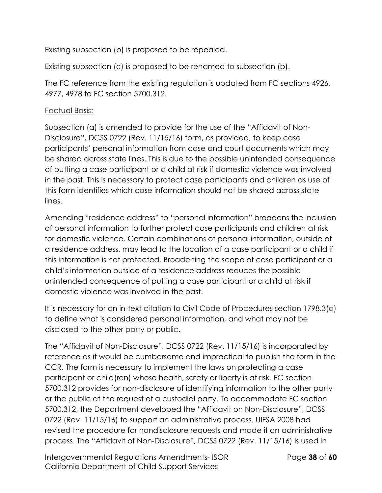Existing subsection (b) is proposed to be repealed.

Existing subsection (c) is proposed to be renamed to subsection (b).

The FC reference from the existing regulation is updated from FC sections 4926, 4977, 4978 to FC section 5700.312.

# Factual Basis:

Subsection (a) is amended to provide for the use of the "Affidavit of Non-Disclosure", DCSS 0722 (Rev. 11/15/16) form, as provided, to keep case participants' personal information from case and court documents which may be shared across state lines. This is due to the possible unintended consequence of putting a case participant or a child at risk if domestic violence was involved in the past. This is necessary to protect case participants and children as use of this form identifies which case information should not be shared across state lines.

Amending "residence address" to "personal information" broadens the inclusion of personal information to further protect case participants and children at risk for domestic violence. Certain combinations of personal information, outside of a residence address, may lead to the location of a case participant or a child if this information is not protected. Broadening the scope of case participant or a child's information outside of a residence address reduces the possible unintended consequence of putting a case participant or a child at risk if domestic violence was involved in the past.

It is necessary for an in-text citation to Civil Code of Procedures section 1798.3(a) to define what is considered personal information, and what may not be disclosed to the other party or public.

The "Affidavit of Non-Disclosure", DCSS 0722 (Rev. 11/15/16) is incorporated by reference as it would be cumbersome and impractical to publish the form in the CCR. The form is necessary to implement the laws on protecting a case participant or child(ren) whose health, safety or liberty is at risk. FC section 5700.312 provides for non-disclosure of identifying information to the other party or the public at the request of a custodial party. To accommodate FC section 5700.312, the Department developed the "Affidavit on Non-Disclosure", DCSS 0722 (Rev. 11/15/16) to support an administrative process. UIFSA 2008 had revised the procedure for nondisclosure requests and made it an administrative process. The "Affidavit of Non-Disclosure", DCSS 0722 (Rev. 11/15/16) is used in

Intergovernmental Regulations Amendments- ISOR Page **38** of **60** California Department of Child Support Services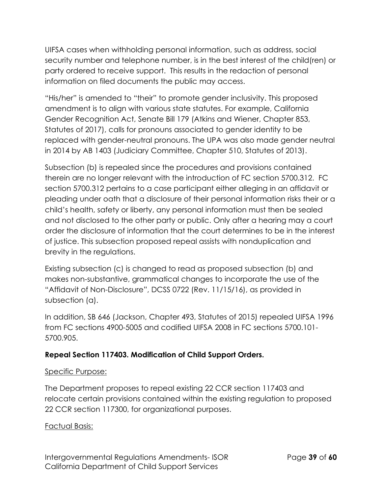UIFSA cases when withholding personal information, such as address, social security number and telephone number, is in the best interest of the child(ren) or party ordered to receive support. This results in the redaction of personal information on filed documents the public may access.

"His/her" is amended to "their" to promote gender inclusivity. This proposed amendment is to align with various state statutes. For example, California Gender Recognition Act, Senate Bill 179 (Atkins and Wiener, Chapter 853, Statutes of 2017), calls for pronouns associated to gender identity to be replaced with gender-neutral pronouns. The UPA was also made gender neutral in 2014 by AB 1403 (Judiciary Committee, Chapter 510, Statutes of 2013).

Subsection (b) is repealed since the procedures and provisions contained therein are no longer relevant with the introduction of FC section 5700.312. FC section 5700.312 pertains to a case participant either alleging in an affidavit or pleading under oath that a disclosure of their personal information risks their or a child's health, safety or liberty, any personal information must then be sealed and not disclosed to the other party or public. Only after a hearing may a court order the disclosure of information that the court determines to be in the interest of justice. This subsection proposed repeal assists with nonduplication and brevity in the regulations.

Existing subsection (c) is changed to read as proposed subsection (b) and makes non-substantive, grammatical changes to incorporate the use of the "Affidavit of Non-Disclosure", DCSS 0722 (Rev. 11/15/16), as provided in subsection (a).

In addition, SB 646 (Jackson, Chapter 493, Statutes of 2015) repealed UIFSA 1996 from FC sections 4900-5005 and codified UIFSA 2008 in FC sections 5700.101- 5700.905.

# **Repeal Section 117403. Modification of Child Support Orders.**

### Specific Purpose:

The Department proposes to repeal existing 22 CCR section 117403 and relocate certain provisions contained within the existing regulation to proposed 22 CCR section 117300, for organizational purposes.

### Factual Basis: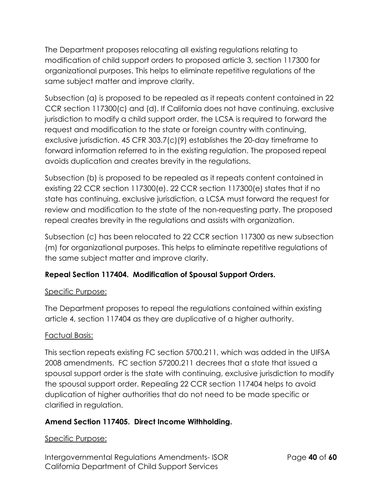The Department proposes relocating all existing regulations relating to modification of child support orders to proposed article 3, section 117300 for organizational purposes. This helps to eliminate repetitive regulations of the same subject matter and improve clarity.

Subsection (a) is proposed to be repealed as it repeats content contained in 22 CCR section 117300(c) and (d). If California does not have continuing, exclusive jurisdiction to modify a child support order, the LCSA is required to forward the request and modification to the state or foreign country with continuing, exclusive jurisdiction. 45 CFR 303.7(c)(9) establishes the 20-day timeframe to forward information referred to in the existing regulation. The proposed repeal avoids duplication and creates brevity in the regulations.

Subsection (b) is proposed to be repealed as it repeats content contained in existing 22 CCR section 117300(e). 22 CCR section 117300(e) states that if no state has continuing, exclusive jurisdiction, a LCSA must forward the request for review and modification to the state of the non-requesting party. The proposed repeal creates brevity in the regulations and assists with organization.

Subsection (c) has been relocated to 22 CCR section 117300 as new subsection (m) for organizational purposes. This helps to eliminate repetitive regulations of the same subject matter and improve clarity.

# **Repeal Section 117404. Modification of Spousal Support Orders.**

### Specific Purpose:

The Department proposes to repeal the regulations contained within existing article 4, section 117404 as they are duplicative of a higher authority.

### Factual Basis:

This section repeats existing FC section 5700.211, which was added in the UIFSA 2008 amendments. FC section 57200.211 decrees that a state that issued a spousal support order is the state with continuing, exclusive jurisdiction to modify the spousal support order. Repealing 22 CCR section 117404 helps to avoid duplication of higher authorities that do not need to be made specific or clarified in regulation.

### **Amend Section 117405. Direct Income Withholding.**

#### Specific Purpose:

Intergovernmental Regulations Amendments- ISOR Page **40** of **60** California Department of Child Support Services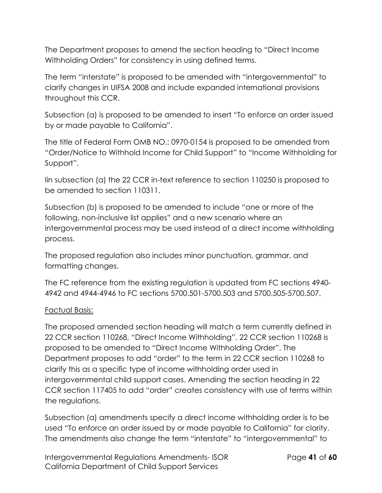The Department proposes to amend the section heading to "Direct Income Withholding Orders" for consistency in using defined terms.

The term "interstate" is proposed to be amended with "intergovernmental" to clarify changes in UIFSA 2008 and include expanded international provisions throughout this CCR.

Subsection (a) is proposed to be amended to insert "To enforce an order issued by or made payable to California".

The title of Federal Form OMB NO.: 0970-0154 is proposed to be amended from "Order/Notice to Withhold Income for Child Support" to "Income Withholding for Support".

Iin subsection (a) the 22 CCR in-text reference to section 110250 is proposed to be amended to section 110311.

Subsection (b) is proposed to be amended to include "one or more of the following, non-inclusive list applies" and a new scenario where an intergovernmental process may be used instead of a direct income withholding process.

The proposed regulation also includes minor punctuation, grammar, and formatting changes.

The FC reference from the existing regulation is updated from FC sections 4940- 4942 and 4944-4946 to FC sections 5700.501-5700.503 and 5700.505-5700.507.

### Factual Basis:

The proposed amended section heading will match a term currently defined in 22 CCR section 110268, "Direct Income Withholding". 22 CCR section 110268 is proposed to be amended to "Direct Income Withholding Order". The Department proposes to add "order" to the term in 22 CCR section 110268 to clarify this as a specific type of income withholding order used in intergovernmental child support cases. Amending the section heading in 22 CCR section 117405 to add "order" creates consistency with use of terms within the regulations.

Subsection (a) amendments specify a direct income withholding order is to be used "To enforce an order issued by or made payable to California" for clarity. The amendments also change the term "interstate" to "intergovernmental" to

Intergovernmental Regulations Amendments- ISOR Page **41** of **60** California Department of Child Support Services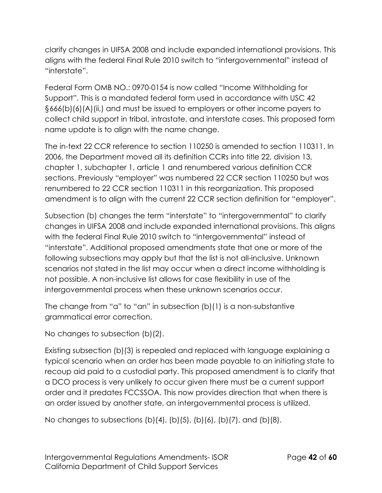clarify changes in UIFSA 2008 and include expanded international provisions. This aligns with the federal Final Rule 2010 switch to "intergovernmental" instead of "interstate".

Federal Form OMB NO.: 0970-0154 is now called "Income Withholding for Support". This is a mandated federal form used in accordance with USC 42 §666(b)(6)(A)(ii,) and must be issued to employers or other income payers to collect child support in tribal, intrastate, and interstate cases. This proposed form name update is to align with the name change.

The in-text 22 CCR reference to section 110250 is amended to section 110311. In 2006, the Department moved all its definition CCRs into title 22, division 13, chapter 1, subchapter 1, article 1 and renumbered various definition CCR sections. Previously "employer" was numbered 22 CCR section 110250 but was renumbered to 22 CCR section 110311 in this reorganization. This proposed amendment is to align with the current 22 CCR section definition for "employer".

Subsection (b) changes the term "interstate" to "intergovernmental" to clarify changes in UIFSA 2008 and include expanded international provisions. This aligns with the federal Final Rule 2010 switch to "intergovernmental" instead of "interstate". Additional proposed amendments state that one or more of the following subsections may apply but that the list is not all-inclusive. Unknown scenarios not stated in the list may occur when a direct income withholding is not possible. A non-inclusive list allows for case flexibility in use of the intergovernmental process when these unknown scenarios occur.

The change from "a" to "an" in subsection  $(b)(1)$  is a non-substantive grammatical error correction.

No changes to subsection (b)(2).

Existing subsection (b)(3) is repealed and replaced with language explaining a typical scenario when an order has been made payable to an initiating state to recoup aid paid to a custodial party. This proposed amendment is to clarify that a DCO process is very unlikely to occur given there must be a current support order and it predates FCCSSOA. This now provides direction that when there is an order issued by another state, an intergovernmental process is utilized.

No changes to subsections  $(b)(4)$ ,  $(b)(5)$ ,  $(b)(6)$ ,  $(b)(7)$ , and  $(b)(8)$ .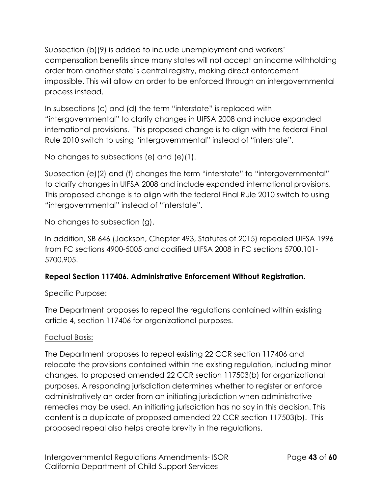Subsection (b)(9) is added to include unemployment and workers' compensation benefits since many states will not accept an income withholding order from another state's central registry, making direct enforcement impossible. This will allow an order to be enforced through an intergovernmental process instead.

In subsections (c) and (d) the term "interstate" is replaced with "intergovernmental" to clarify changes in UIFSA 2008 and include expanded international provisions. This proposed change is to align with the federal Final Rule 2010 switch to using "intergovernmental" instead of "interstate".

No changes to subsections (e) and (e)(1).

Subsection (e)(2) and (f) changes the term "interstate" to "intergovernmental" to clarify changes in UIFSA 2008 and include expanded international provisions. This proposed change is to align with the federal Final Rule 2010 switch to using "intergovernmental" instead of "interstate".

No changes to subsection (g).

In addition, SB 646 (Jackson, Chapter 493, Statutes of 2015) repealed UIFSA 1996 from FC sections 4900-5005 and codified UIFSA 2008 in FC sections 5700.101- 5700.905.

# **Repeal Section 117406. Administrative Enforcement Without Registration.**

# Specific Purpose:

The Department proposes to repeal the regulations contained within existing article 4, section 117406 for organizational purposes.

# Factual Basis:

The Department proposes to repeal existing 22 CCR section 117406 and relocate the provisions contained within the existing regulation, including minor changes, to proposed amended 22 CCR section 117503(b) for organizational purposes. A responding jurisdiction determines whether to register or enforce administratively an order from an initiating jurisdiction when administrative remedies may be used. An initiating jurisdiction has no say in this decision. This content is a duplicate of proposed amended 22 CCR section 117503(b). This proposed repeal also helps create brevity in the regulations.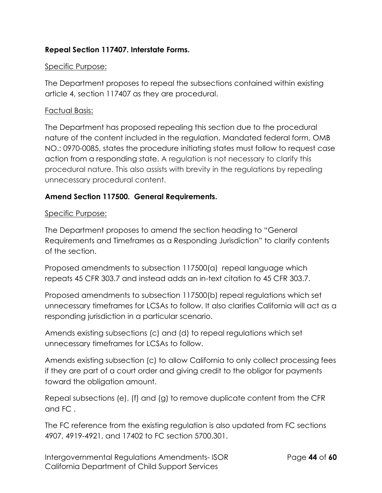#### **Repeal Section 117407. Interstate Forms.**

#### Specific Purpose:

The Department proposes to repeal the subsections contained within existing article 4, section 117407 as they are procedural.

#### Factual Basis:

The Department has proposed repealing this section due to the procedural nature of the content included in the regulation. Mandated federal form, OMB NO.: 0970-0085, states the procedure initiating states must follow to request case action from a responding state. A regulation is not necessary to clarify this procedural nature. This also assists with brevity in the regulations by repealing unnecessary procedural content.

#### **Amend Section 117500. General Requirements.**

#### Specific Purpose:

The Department proposes to amend the section heading to "General Requirements and Timeframes as a Responding Jurisdiction" to clarify contents of the section.

Proposed amendments to subsection 117500(a) repeal language which repeats 45 CFR 303.7 and instead adds an in-text citation to 45 CFR 303.7.

Proposed amendments to subsection 117500(b) repeal regulations which set unnecessary timeframes for LCSAs to follow. It also clarifies California will act as a responding jurisdiction in a particular scenario.

Amends existing subsections (c) and (d) to repeal regulations which set unnecessary timeframes for LCSAs to follow.

Amends existing subsection (c) to allow California to only collect processing fees if they are part of a court order and giving credit to the obligor for payments toward the obligation amount.

Repeal subsections (e), (f) and (g) to remove duplicate content from the CFR and FC .

The FC reference from the existing regulation is also updated from FC sections 4907, 4919-4921, and 17402 to FC section 5700.301.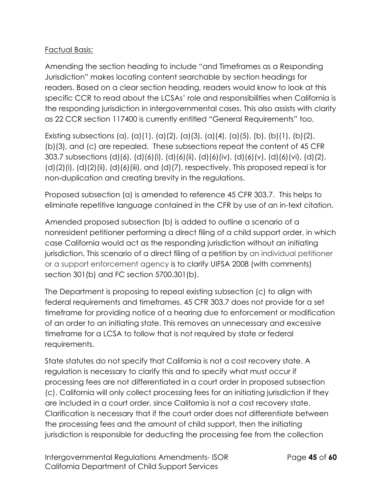### Factual Basis:

Amending the section heading to include "and Timeframes as a Responding Jurisdiction" makes locating content searchable by section headings for readers. Based on a clear section heading, readers would know to look at this specific CCR to read about the LCSAs' role and responsibilities when California is the responding jurisdiction in intergovernmental cases. This also assists with clarity as 22 CCR section 117400 is currently entitled "General Requirements" too.

Existing subsections (a), (a)(1), (a)(2), (a)(3), (a)(4), (a)(5), (b), (b)(1), (b)(2), (b)(3), and (c) are repealed. These subsections repeat the content of 45 CFR 303.7 subsections (d)(6), (d)(6)(i), (d)(6)(ii), (d)(6)(iv), (d)(6)(v), (d)(6)(vi), (d)(2),  $(d)(2)(i)$ ,  $(d)(2)(ii)$ ,  $(d)(6)(iii)$ , and  $(d)(7)$ , respectively. This proposed repeal is for non-duplication and creating brevity in the regulations.

Proposed subsection (a) is amended to reference 45 CFR 303.7. This helps to eliminate repetitive language contained in the CFR by use of an in-text citation.

Amended proposed subsection (b) is added to outline a scenario of a nonresident petitioner performing a direct filing of a child support order, in which case California would act as the responding jurisdiction without an initiating jurisdiction. This scenario of a direct filing of a petition by an individual petitioner or a support enforcement agency is to clarify UIFSA 2008 (with comments) section 301(b) and FC section 5700.301(b).

The Department is proposing to repeal existing subsection (c) to align with federal requirements and timeframes. 45 CFR 303.7 does not provide for a set timeframe for providing notice of a hearing due to enforcement or modification of an order to an initiating state. This removes an unnecessary and excessive timeframe for a LCSA to follow that is not required by state or federal requirements.

State statutes do not specify that California is not a cost recovery state. A regulation is necessary to clarify this and to specify what must occur if processing fees are not differentiated in a court order in proposed subsection (c). California will only collect processing fees for an initiating jurisdiction if they are included in a court order, since California is not a cost recovery state. Clarification is necessary that if the court order does not differentiate between the processing fees and the amount of child support, then the initiating jurisdiction is responsible for deducting the processing fee from the collection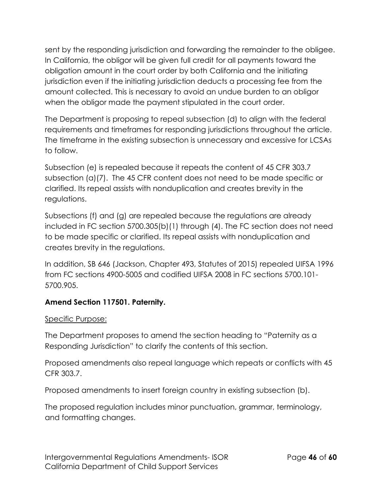sent by the responding jurisdiction and forwarding the remainder to the obligee. In California, the obligor will be given full credit for all payments toward the obligation amount in the court order by both California and the initiating jurisdiction even if the initiating jurisdiction deducts a processing fee from the amount collected. This is necessary to avoid an undue burden to an obligor when the obligor made the payment stipulated in the court order.

The Department is proposing to repeal subsection (d) to align with the federal requirements and timeframes for responding jurisdictions throughout the article. The timeframe in the existing subsection is unnecessary and excessive for LCSAs to follow.

Subsection (e) is repealed because it repeats the content of 45 CFR 303.7 subsection (a)(7). The 45 CFR content does not need to be made specific or clarified. Its repeal assists with nonduplication and creates brevity in the regulations.

Subsections (f) and (g) are repealed because the regulations are already included in FC section 5700.305(b)(1) through (4). The FC section does not need to be made specific or clarified. Its repeal assists with nonduplication and creates brevity in the regulations.

In addition, SB 646 (Jackson, Chapter 493, Statutes of 2015) repealed UIFSA 1996 from FC sections 4900-5005 and codified UIFSA 2008 in FC sections 5700.101- 5700.905.

### **Amend Section 117501. Paternity.**

#### Specific Purpose:

The Department proposes to amend the section heading to "Paternity as a Responding Jurisdiction" to clarify the contents of this section.

Proposed amendments also repeal language which repeats or conflicts with 45 CFR 303.7.

Proposed amendments to insert foreign country in existing subsection (b).

The proposed regulation includes minor punctuation, grammar, terminology, and formatting changes.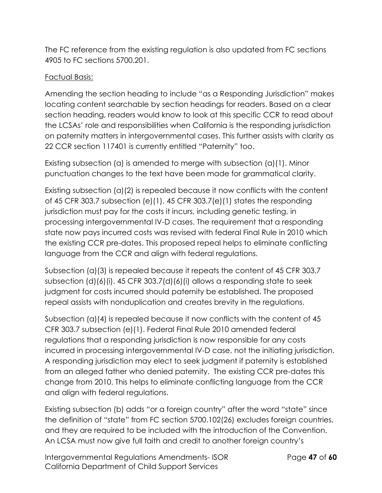The FC reference from the existing regulation is also updated from FC sections 4905 to FC sections 5700.201.

## Factual Basis:

Amending the section heading to include "as a Responding Jurisdiction" makes locating content searchable by section headings for readers. Based on a clear section heading, readers would know to look at this specific CCR to read about the LCSAs' role and responsibilities when California is the responding jurisdiction on paternity matters in intergovernmental cases. This further assists with clarity as 22 CCR section 117401 is currently entitled "Paternity" too.

Existing subsection (a) is amended to merge with subsection (a)(1). Minor punctuation changes to the text have been made for grammatical clarity.

Existing subsection (a)(2) is repealed because it now conflicts with the content of 45 CFR 303.7 subsection (e)(1). 45 CFR 303.7(e)(1) states the responding jurisdiction must pay for the costs it incurs, including genetic testing, in processing intergovernmental IV-D cases. The requirement that a responding state now pays incurred costs was revised with federal Final Rule in 2010 which the existing CCR pre-dates. This proposed repeal helps to eliminate conflicting language from the CCR and align with federal regulations.

Subsection (a)(3) is repealed because it repeats the content of 45 CFR 303.7 subsection (d)(6)(i). 45 CFR 303.7(d)(6)(i) allows a responding state to seek judgment for costs incurred should paternity be established. The proposed repeal assists with nonduplication and creates brevity in the regulations.

Subsection (a)(4) is repealed because it now conflicts with the content of 45 CFR 303.7 subsection (e)(1). Federal Final Rule 2010 amended federal regulations that a responding jurisdiction is now responsible for any costs incurred in processing intergovernmental IV-D case, not the initiating jurisdiction. A responding jurisdiction may elect to seek judgment if paternity is established from an alleged father who denied paternity. The existing CCR pre-dates this change from 2010. This helps to eliminate conflicting language from the CCR and align with federal regulations.

Existing subsection (b) adds "or a foreign country" after the word "state" since the definition of "state" from FC section 5700.102(26) excludes foreign countries, and they are required to be included with the introduction of the Convention. An LCSA must now give full faith and credit to another foreign country's

Intergovernmental Regulations Amendments- ISOR Page **47** of **60** California Department of Child Support Services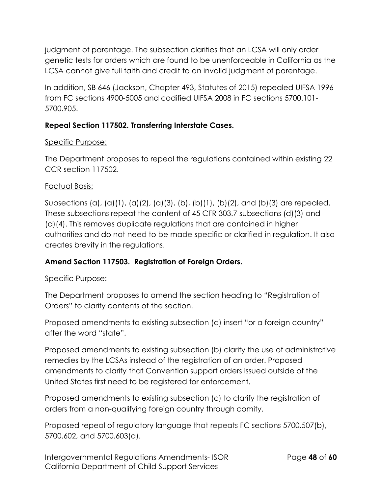judgment of parentage. The subsection clarifies that an LCSA will only order genetic tests for orders which are found to be unenforceable in California as the LCSA cannot give full faith and credit to an invalid judgment of parentage.

In addition, SB 646 (Jackson, Chapter 493, Statutes of 2015) repealed UIFSA 1996 from FC sections 4900-5005 and codified UIFSA 2008 in FC sections 5700.101- 5700.905.

### **Repeal Section 117502. Transferring Interstate Cases.**

#### Specific Purpose:

The Department proposes to repeal the regulations contained within existing 22 CCR section 117502.

#### Factual Basis:

Subsections (a), (a)(1), (a)(2), (a)(3), (b), (b)(1), (b)(2), and (b)(3) are repealed. These subsections repeat the content of 45 CFR 303.7 subsections (d)(3) and (d)(4). This removes duplicate regulations that are contained in higher authorities and do not need to be made specific or clarified in regulation. It also creates brevity in the regulations.

### **Amend Section 117503. Registration of Foreign Orders.**

#### Specific Purpose:

The Department proposes to amend the section heading to "Registration of Orders" to clarify contents of the section.

Proposed amendments to existing subsection (a) insert "or a foreign country" after the word "state".

Proposed amendments to existing subsection (b) clarify the use of administrative remedies by the LCSAs instead of the registration of an order. Proposed amendments to clarify that Convention support orders issued outside of the United States first need to be registered for enforcement.

Proposed amendments to existing subsection (c) to clarify the registration of orders from a non-qualifying foreign country through comity.

Proposed repeal of regulatory language that repeats FC sections 5700.507(b), 5700.602, and 5700.603(a).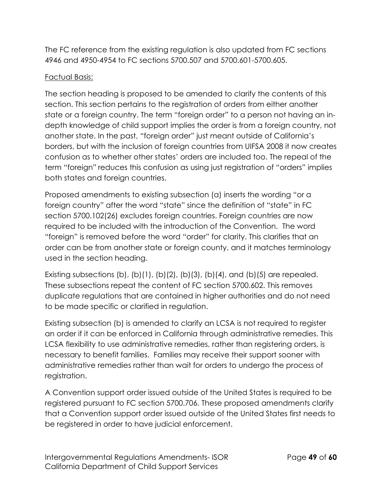The FC reference from the existing regulation is also updated from FC sections 4946 and 4950-4954 to FC sections 5700.507 and 5700.601-5700.605.

## Factual Basis:

The section heading is proposed to be amended to clarify the contents of this section. This section pertains to the registration of orders from either another state or a foreign country. The term "foreign order" to a person not having an indepth knowledge of child support implies the order is from a foreign country, not another state. In the past, "foreign order" just meant outside of California's borders, but with the inclusion of foreign countries from UIFSA 2008 it now creates confusion as to whether other states' orders are included too. The repeal of the term "foreign" reduces this confusion as using just registration of "orders" implies both states and foreign countries.

Proposed amendments to existing subsection (a) inserts the wording "or a foreign country" after the word "state" since the definition of "state" in FC section 5700.102(26) excludes foreign countries. Foreign countries are now required to be included with the introduction of the Convention. The word "foreign" is removed before the word "order" for clarity. This clarifies that an order can be from another state or foreign county, and it matches terminology used in the section heading.

Existing subsections (b), (b)(1), (b)(2), (b)(3), (b)(4), and (b)(5) are repealed. These subsections repeat the content of FC section 5700.602. This removes duplicate regulations that are contained in higher authorities and do not need to be made specific or clarified in regulation.

Existing subsection (b) is amended to clarify an LCSA is not required to register an order if it can be enforced in California through administrative remedies. This LCSA flexibility to use administrative remedies, rather than registering orders, is necessary to benefit families. Families may receive their support sooner with administrative remedies rather than wait for orders to undergo the process of registration.

A Convention support order issued outside of the United States is required to be registered pursuant to FC section 5700.706. These proposed amendments clarify that a Convention support order issued outside of the United States first needs to be registered in order to have judicial enforcement.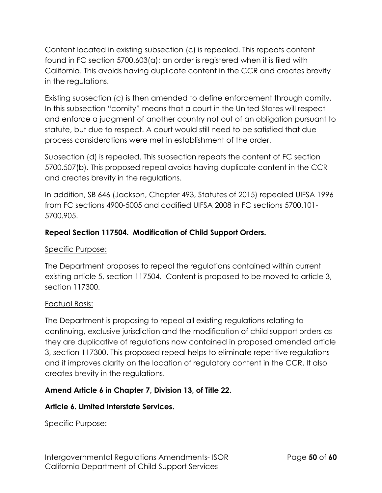Content located in existing subsection (c) is repealed. This repeats content found in FC section 5700.603(a); an order is registered when it is filed with California. This avoids having duplicate content in the CCR and creates brevity in the regulations.

Existing subsection (c) is then amended to define enforcement through comity. In this subsection "comity" means that a court in the United States will respect and enforce a judgment of another country not out of an obligation pursuant to statute, but due to respect. A court would still need to be satisfied that due process considerations were met in establishment of the order.

Subsection (d) is repealed. This subsection repeats the content of FC section 5700.507(b). This proposed repeal avoids having duplicate content in the CCR and creates brevity in the regulations.

In addition, SB 646 (Jackson, Chapter 493, Statutes of 2015) repealed UIFSA 1996 from FC sections 4900-5005 and codified UIFSA 2008 in FC sections 5700.101- 5700.905.

## **Repeal Section 117504. Modification of Child Support Orders.**

#### Specific Purpose:

The Department proposes to repeal the regulations contained within current existing article 5, section 117504. Content is proposed to be moved to article 3, section 117300.

### Factual Basis:

The Department is proposing to repeal all existing regulations relating to continuing, exclusive jurisdiction and the modification of child support orders as they are duplicative of regulations now contained in proposed amended article 3, section 117300. This proposed repeal helps to eliminate repetitive regulations and it improves clarity on the location of regulatory content in the CCR. It also creates brevity in the regulations.

### **Amend Article 6 in Chapter 7, Division 13, of Title 22.**

### **Article 6. Limited Interstate Services.**

Specific Purpose: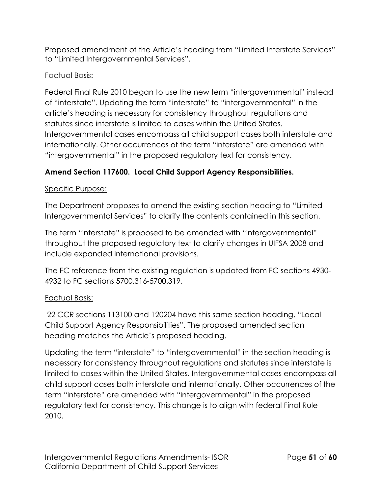Proposed amendment of the Article's heading from "Limited Interstate Services" to "Limited Intergovernmental Services".

## Factual Basis:

Federal Final Rule 2010 began to use the new term "intergovernmental" instead of "interstate". Updating the term "interstate" to "intergovernmental" in the article's heading is necessary for consistency throughout regulations and statutes since interstate is limited to cases within the United States. Intergovernmental cases encompass all child support cases both interstate and internationally. Other occurrences of the term "interstate" are amended with "intergovernmental" in the proposed regulatory text for consistency.

# **Amend Section 117600. Local Child Support Agency Responsibilities.**

### Specific Purpose:

The Department proposes to amend the existing section heading to "Limited Intergovernmental Services" to clarify the contents contained in this section.

The term "interstate" is proposed to be amended with "intergovernmental" throughout the proposed regulatory text to clarify changes in UIFSA 2008 and include expanded international provisions.

The FC reference from the existing regulation is updated from FC sections 4930- 4932 to FC sections 5700.316-5700.319.

### Factual Basis:

22 CCR sections 113100 and 120204 have this same section heading, "Local Child Support Agency Responsibilities". The proposed amended section heading matches the Article's proposed heading.

Updating the term "interstate" to "intergovernmental" in the section heading is necessary for consistency throughout regulations and statutes since interstate is limited to cases within the United States. Intergovernmental cases encompass all child support cases both interstate and internationally. Other occurrences of the term "interstate" are amended with "intergovernmental" in the proposed regulatory text for consistency. This change is to align with federal Final Rule 2010.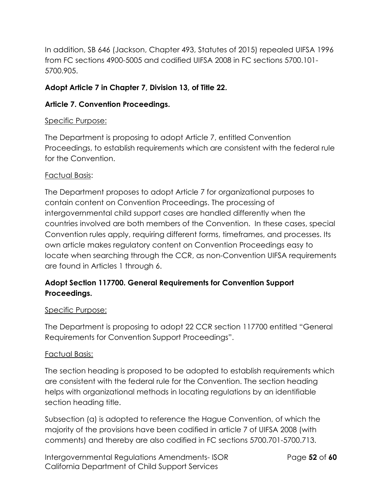In addition, SB 646 (Jackson, Chapter 493, Statutes of 2015) repealed UIFSA 1996 from FC sections 4900-5005 and codified UIFSA 2008 in FC sections 5700.101- 5700.905.

## **Adopt Article 7 in Chapter 7, Division 13, of Title 22.**

### **Article 7. Convention Proceedings.**

#### Specific Purpose:

The Department is proposing to adopt Article 7, entitled Convention Proceedings, to establish requirements which are consistent with the federal rule for the Convention.

#### Factual Basis:

The Department proposes to adopt Article 7 for organizational purposes to contain content on Convention Proceedings. The processing of intergovernmental child support cases are handled differently when the countries involved are both members of the Convention. In these cases, special Convention rules apply, requiring different forms, timeframes, and processes. Its own article makes regulatory content on Convention Proceedings easy to locate when searching through the CCR, as non-Convention UIFSA requirements are found in Articles 1 through 6.

# **Adopt Section 117700. General Requirements for Convention Support Proceedings.**

#### Specific Purpose:

The Department is proposing to adopt 22 CCR section 117700 entitled "General Requirements for Convention Support Proceedings".

#### Factual Basis:

The section heading is proposed to be adopted to establish requirements which are consistent with the federal rule for the Convention. The section heading helps with organizational methods in locating regulations by an identifiable section heading title.

Subsection (a) is adopted to reference the Hague Convention, of which the majority of the provisions have been codified in article 7 of UIFSA 2008 (with comments) and thereby are also codified in FC sections 5700.701-5700.713.

Intergovernmental Regulations Amendments- ISOR Page **52** of **60** California Department of Child Support Services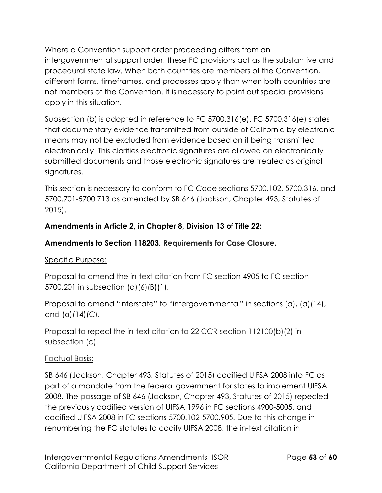Where a Convention support order proceeding differs from an intergovernmental support order, these FC provisions act as the substantive and procedural state law. When both countries are members of the Convention, different forms, timeframes, and processes apply than when both countries are not members of the Convention. It is necessary to point out special provisions apply in this situation.

Subsection (b) is adopted in reference to FC 5700.316(e). FC 5700.316(e) states that documentary evidence transmitted from outside of California by electronic means may not be excluded from evidence based on it being transmitted electronically. This clarifies electronic signatures are allowed on electronically submitted documents and those electronic signatures are treated as original signatures.

This section is necessary to conform to FC Code sections 5700.102, 5700.316, and 5700.701-5700.713 as amended by SB 646 (Jackson, Chapter 493, Statutes of 2015).

# **Amendments in Article 2, in Chapter 8, Division 13 of Title 22:**

## **Amendments to Section 118203. Requirements for Case Closure.**

### Specific Purpose:

Proposal to amend the in-text citation from FC section 4905 to FC section 5700.201 in subsection (a)(6)(B)(1).

Proposal to amend "interstate" to "intergovernmental" in sections (a), (a)(14), and  $(a)(14)(C)$ .

Proposal to repeal the in-text citation to 22 CCR section 112100(b)(2) in subsection (c).

### Factual Basis:

SB 646 (Jackson, Chapter 493, Statutes of 2015) codified UIFSA 2008 into FC as part of a mandate from the federal government for states to implement UIFSA 2008. The passage of SB 646 (Jackson, Chapter 493, Statutes of 2015) repealed the previously codified version of UIFSA 1996 in FC sections 4900-5005, and codified UIFSA 2008 in FC sections 5700.102-5700.905. Due to this change in renumbering the FC statutes to codify UIFSA 2008, the in-text citation in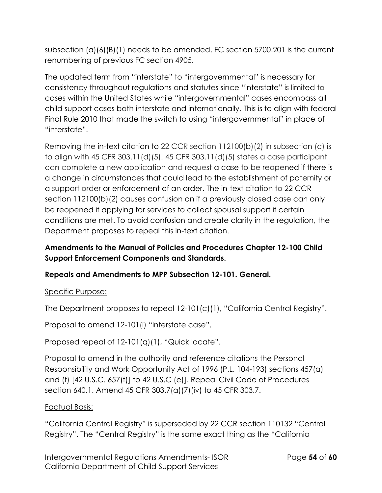subsection (a)(6)(B)(1) needs to be amended. FC section 5700.201 is the current renumbering of previous FC section 4905.

The updated term from "interstate" to "intergovernmental" is necessary for consistency throughout regulations and statutes since "interstate" is limited to cases within the United States while "intergovernmental" cases encompass all child support cases both interstate and internationally. This is to align with federal Final Rule 2010 that made the switch to using "intergovernmental" in place of "interstate".

Removing the in-text citation to 22 CCR section 112100(b)(2) in subsection (c) is to align with 45 CFR 303.11(d)(5). 45 CFR 303.11(d)(5) states a case participant can complete a new application and request a case to be reopened if there is a change in circumstances that could lead to the establishment of paternity or a support order or enforcement of an order. The in-text citation to 22 CCR section 112100(b)(2) causes confusion on if a previously closed case can only be reopened if applying for services to collect spousal support if certain conditions are met. To avoid confusion and create clarity in the regulation, the Department proposes to repeal this in-text citation.

# **Amendments to the Manual of Policies and Procedures Chapter 12-100 Child Support Enforcement Components and Standards.**

# **Repeals and Amendments to MPP Subsection 12-101. General.**

### Specific Purpose:

The Department proposes to repeal 12-101(c)(1), "California Central Registry".

Proposal to amend 12-101(i) "interstate case".

Proposed repeal of 12-101(q)(1), "Quick locate".

Proposal to amend in the authority and reference citations the Personal Responsibility and Work Opportunity Act of 1996 (P.L. 104-193) sections 457(a) and (f) [42 U.S.C. 657(f)] to 42 U.S.C (e)]. Repeal Civil Code of Procedures section 640.1. Amend 45 CFR 303.7(a)(7)(iv) to 45 CFR 303.7.

### Factual Basis:

"California Central Registry" is superseded by 22 CCR section 110132 "Central Registry". The "Central Registry" is the same exact thing as the "California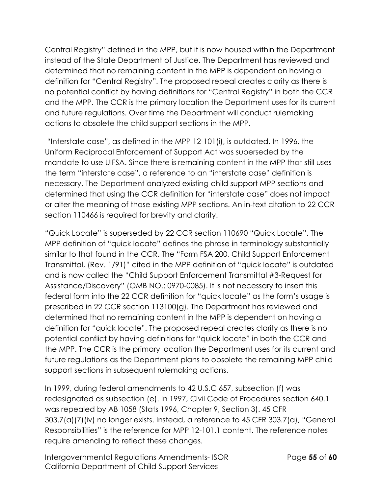Central Registry" defined in the MPP, but it is now housed within the Department instead of the State Department of Justice. The Department has reviewed and determined that no remaining content in the MPP is dependent on having a definition for "Central Registry". The proposed repeal creates clarity as there is no potential conflict by having definitions for "Central Registry" in both the CCR and the MPP. The CCR is the primary location the Department uses for its current and future regulations. Over time the Department will conduct rulemaking actions to obsolete the child support sections in the MPP.

"Interstate case", as defined in the MPP 12-101(i), is outdated. In 1996, the Uniform Reciprocal Enforcement of Support Act was superseded by the mandate to use UIFSA. Since there is remaining content in the MPP that still uses the term "interstate case", a reference to an "interstate case" definition is necessary. The Department analyzed existing child support MPP sections and determined that using the CCR definition for "interstate case" does not impact or alter the meaning of those existing MPP sections. An in-text citation to 22 CCR section 110466 is required for brevity and clarity.

"Quick Locate" is superseded by 22 CCR section 110690 "Quick Locate". The MPP definition of "quick locate" defines the phrase in terminology substantially similar to that found in the CCR. The "Form FSA 200, Child Support Enforcement Transmittal, (Rev. 1/91)" cited in the MPP definition of "quick locate" is outdated and is now called the "Child Support Enforcement Transmittal #3-Request for Assistance/Discovery" (OMB NO.: 0970-0085). It is not necessary to insert this federal form into the 22 CCR definition for "quick locate" as the form's usage is prescribed in 22 CCR section 113100(g). The Department has reviewed and determined that no remaining content in the MPP is dependent on having a definition for "quick locate". The proposed repeal creates clarity as there is no potential conflict by having definitions for "quick locate" in both the CCR and the MPP. The CCR is the primary location the Department uses for its current and future regulations as the Department plans to obsolete the remaining MPP child support sections in subsequent rulemaking actions.

In 1999, during federal amendments to 42 U.S.C 657, subsection (f) was redesignated as subsection (e). In 1997, Civil Code of Procedures section 640.1 was repealed by AB 1058 (Stats 1996, Chapter 9, Section 3). 45 CFR 303.7(a)(7)(iv) no longer exists. Instead, a reference to 45 CFR 303.7(a), "General Responsibilities" is the reference for MPP 12-101.1 content. The reference notes require amending to reflect these changes.

Intergovernmental Regulations Amendments- ISOR Page **55** of **60** California Department of Child Support Services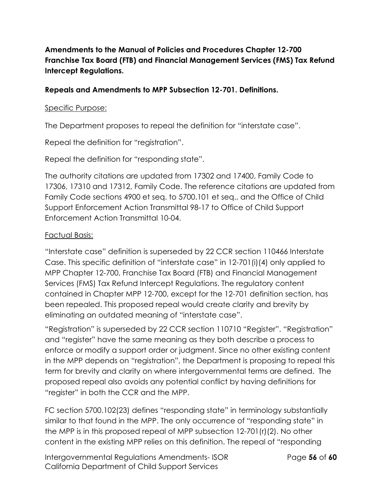# **Amendments to the Manual of Policies and Procedures Chapter 12-700 Franchise Tax Board (FTB) and Financial Management Services (FMS) Tax Refund Intercept Regulations.**

#### **Repeals and Amendments to MPP Subsection 12-701. Definitions.**

#### Specific Purpose:

The Department proposes to repeal the definition for "interstate case".

Repeal the definition for "registration".

Repeal the definition for "responding state".

The authority citations are updated from 17302 and 17400, Family Code to 17306, 17310 and 17312, Family Code. The reference citations are updated from Family Code sections 4900 et seq. to 5700.101 et seq., and the Office of Child Support Enforcement Action Transmittal 98-17 to Office of Child Support Enforcement Action Transmittal 10-04.

#### Factual Basis:

"Interstate case" definition is superseded by 22 CCR section 110466 Interstate Case. This specific definition of "interstate case" in 12-701(i)(4) only applied to MPP Chapter 12-700, Franchise Tax Board (FTB) and Financial Management Services (FMS) Tax Refund Intercept Regulations. The regulatory content contained in Chapter MPP 12-700, except for the 12-701 definition section, has been repealed. This proposed repeal would create clarity and brevity by eliminating an outdated meaning of "interstate case".

"Registration" is superseded by 22 CCR section 110710 "Register". "Registration" and "register" have the same meaning as they both describe a process to enforce or modify a support order or judgment. Since no other existing content in the MPP depends on "registration", the Department is proposing to repeal this term for brevity and clarity on where intergovernmental terms are defined. The proposed repeal also avoids any potential conflict by having definitions for "register" in both the CCR and the MPP.

FC section 5700.102(23) defines "responding state" in terminology substantially similar to that found in the MPP. The only occurrence of "responding state" in the MPP is in this proposed repeal of MPP subsection 12-701(r)(2). No other content in the existing MPP relies on this definition. The repeal of "responding

Intergovernmental Regulations Amendments- ISOR Page **56** of **60** California Department of Child Support Services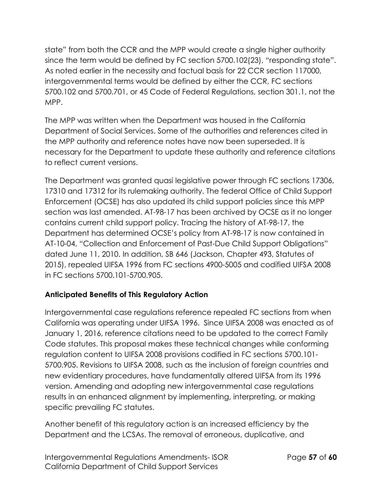state" from both the CCR and the MPP would create a single higher authority since the term would be defined by FC section 5700.102(23), "responding state". As noted earlier in the necessity and factual basis for 22 CCR section 117000, intergovernmental terms would be defined by either the CCR, FC sections 5700.102 and 5700.701, or 45 Code of Federal Regulations, section 301.1, not the MPP.

The MPP was written when the Department was housed in the California Department of Social Services. Some of the authorities and references cited in the MPP authority and reference notes have now been superseded. It is necessary for the Department to update these authority and reference citations to reflect current versions.

The Department was granted quasi legislative power through FC sections 17306, 17310 and 17312 for its rulemaking authority. The federal Office of Child Support Enforcement (OCSE) has also updated its child support policies since this MPP section was last amended. AT-98-17 has been archived by OCSE as it no longer contains current child support policy. Tracing the history of AT-98-17, the Department has determined OCSE's policy from AT-98-17 is now contained in AT-10-04, "Collection and Enforcement of Past-Due Child Support Obligations" dated June 11, 2010. In addition, SB 646 (Jackson, Chapter 493, Statutes of 2015), repealed UIFSA 1996 from FC sections 4900-5005 and codified UIFSA 2008 in FC sections 5700.101-5700.905.

# **Anticipated Benefits of This Regulatory Action**

Intergovernmental case regulations reference repealed FC sections from when California was operating under UIFSA 1996. Since UIFSA 2008 was enacted as of January 1, 2016, reference citations need to be updated to the correct Family Code statutes. This proposal makes these technical changes while conforming regulation content to UIFSA 2008 provisions codified in FC sections 5700.101- 5700.905. Revisions to UIFSA 2008, such as the inclusion of foreign countries and new evidentiary procedures, have fundamentally altered UIFSA from its 1996 version. Amending and adopting new intergovernmental case regulations results in an enhanced alignment by implementing, interpreting, or making specific prevailing FC statutes.

Another benefit of this regulatory action is an increased efficiency by the Department and the LCSAs. The removal of erroneous, duplicative, and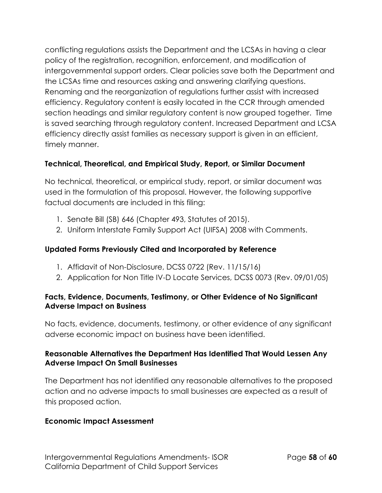conflicting regulations assists the Department and the LCSAs in having a clear policy of the registration, recognition, enforcement, and modification of intergovernmental support orders. Clear policies save both the Department and the LCSAs time and resources asking and answering clarifying questions. Renaming and the reorganization of regulations further assist with increased efficiency. Regulatory content is easily located in the CCR through amended section headings and similar regulatory content is now grouped together. Time is saved searching through regulatory content. Increased Department and LCSA efficiency directly assist families as necessary support is given in an efficient, timely manner.

## **Technical, Theoretical, and Empirical Study, Report, or Similar Document**

No technical, theoretical, or empirical study, report, or similar document was used in the formulation of this proposal. However, the following supportive factual documents are included in this filing:

- 1. Senate Bill (SB) 646 (Chapter 493, Statutes of 2015).
- 2. Uniform Interstate Family Support Act (UIFSA) 2008 with Comments.

### **Updated Forms Previously Cited and Incorporated by Reference**

- 1. Affidavit of Non-Disclosure, DCSS 0722 (Rev. 11/15/16)
- 2. Application for Non Title IV-D Locate Services, DCSS 0073 (Rev. 09/01/05)

#### **Facts, Evidence, Documents, Testimony, or Other Evidence of No Significant Adverse Impact on Business**

No facts, evidence, documents, testimony, or other evidence of any significant adverse economic impact on business have been identified.

### **Reasonable Alternatives the Department Has Identified That Would Lessen Any Adverse Impact On Small Businesses**

The Department has not identified any reasonable alternatives to the proposed action and no adverse impacts to small businesses are expected as a result of this proposed action.

### **Economic Impact Assessment**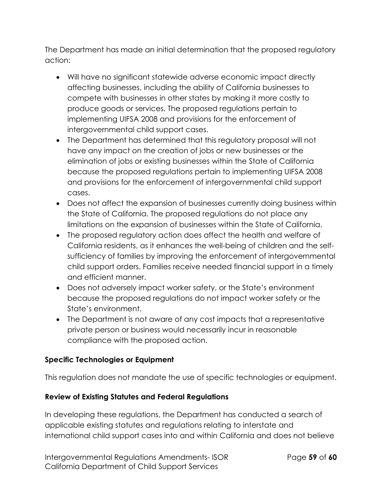The Department has made an initial determination that the proposed regulatory action:

- Will have no significant statewide adverse economic impact directly affecting businesses, including the ability of California businesses to compete with businesses in other states by making it more costly to produce goods or services. The proposed regulations pertain to implementing UIFSA 2008 and provisions for the enforcement of intergovernmental child support cases.
- The Department has determined that this regulatory proposal will not have any impact on the creation of jobs or new businesses or the elimination of jobs or existing businesses within the State of California because the proposed regulations pertain to implementing UIFSA 2008 and provisions for the enforcement of intergovernmental child support cases.
- Does not affect the expansion of businesses currently doing business within the State of California. The proposed regulations do not place any limitations on the expansion of businesses within the State of California.
- The proposed regulatory action does affect the health and welfare of California residents, as it enhances the well-being of children and the selfsufficiency of families by improving the enforcement of intergovernmental child support orders. Families receive needed financial support in a timely and efficient manner.
- Does not adversely impact worker safety, or the State's environment because the proposed regulations do not impact worker safety or the State's environment.
- The Department is not aware of any cost impacts that a representative private person or business would necessarily incur in reasonable compliance with the proposed action.

### **Specific Technologies or Equipment**

This regulation does not mandate the use of specific technologies or equipment.

### **Review of Existing Statutes and Federal Regulations**

In developing these regulations, the Department has conducted a search of applicable existing statutes and regulations relating to interstate and international child support cases into and within California and does not believe